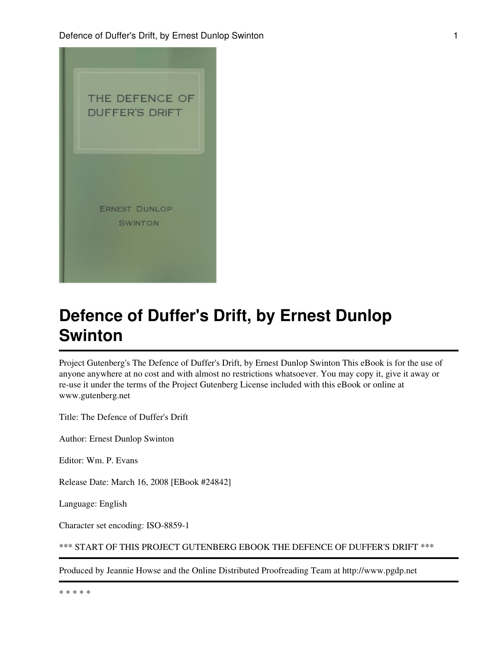

Project Gutenberg's The Defence of Duffer's Drift, by Ernest Dunlop Swinton This eBook is for the use of anyone anywhere at no cost and with almost no restrictions whatsoever. You may copy it, give it away or re-use it under the terms of the Project Gutenberg License included with this eBook or online at www.gutenberg.net

Title: The Defence of Duffer's Drift

Author: Ernest Dunlop Swinton

Editor: Wm. P. Evans

Release Date: March 16, 2008 [EBook #24842]

Language: English

Character set encoding: ISO-8859-1

\*\*\* START OF THIS PROJECT GUTENBERG EBOOK THE DEFENCE OF DUFFER'S DRIFT \*\*\*

Produced by Jeannie Howse and the Online Distributed Proofreading Team at http://www.pgdp.net

\* \* \* \* \*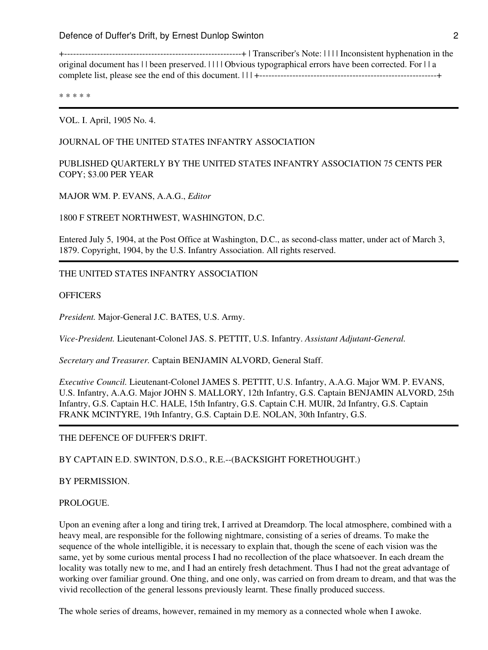+-----------------------------------------------------------+ | Transcriber's Note: | | | | Inconsistent hyphenation in the original document has | | been preserved. | | | | Obvious typographical errors have been corrected. For | | a complete list, please see the end of this document. | | | +-----------------------------------------------------------+

\* \* \* \* \*

VOL. I. April, 1905 No. 4.

# JOURNAL OF THE UNITED STATES INFANTRY ASSOCIATION

PUBLISHED QUARTERLY BY THE UNITED STATES INFANTRY ASSOCIATION 75 CENTS PER COPY; \$3.00 PER YEAR

MAJOR WM. P. EVANS, A.A.G., *Editor*

1800 F STREET NORTHWEST, WASHINGTON, D.C.

Entered July 5, 1904, at the Post Office at Washington, D.C., as second-class matter, under act of March 3, 1879. Copyright, 1904, by the U.S. Infantry Association. All rights reserved.

THE UNITED STATES INFANTRY ASSOCIATION

#### **OFFICERS**

*President.* Major-General J.C. BATES, U.S. Army.

*Vice-President.* Lieutenant-Colonel JAS. S. PETTIT, U.S. Infantry. *Assistant Adjutant-General.*

*Secretary and Treasurer.* Captain BENJAMIN ALVORD, General Staff.

*Executive Council.* Lieutenant-Colonel JAMES S. PETTIT, U.S. Infantry, A.A.G. Major WM. P. EVANS, U.S. Infantry, A.A.G. Major JOHN S. MALLORY, 12th Infantry, G.S. Captain BENJAMIN ALVORD, 25th Infantry, G.S. Captain H.C. HALE, 15th Infantry, G.S. Captain C.H. MUIR, 2d Infantry, G.S. Captain FRANK MCINTYRE, 19th Infantry, G.S. Captain D.E. NOLAN, 30th Infantry, G.S.

THE DEFENCE OF DUFFER'S DRIFT.

BY CAPTAIN E.D. SWINTON, D.S.O., R.E.--(BACKSIGHT FORETHOUGHT.)

BY PERMISSION.

#### PROLOGUE.

Upon an evening after a long and tiring trek, I arrived at Dreamdorp. The local atmosphere, combined with a heavy meal, are responsible for the following nightmare, consisting of a series of dreams. To make the sequence of the whole intelligible, it is necessary to explain that, though the scene of each vision was the same, yet by some curious mental process I had no recollection of the place whatsoever. In each dream the locality was totally new to me, and I had an entirely fresh detachment. Thus I had not the great advantage of working over familiar ground. One thing, and one only, was carried on from dream to dream, and that was the vivid recollection of the general lessons previously learnt. These finally produced success.

The whole series of dreams, however, remained in my memory as a connected whole when I awoke.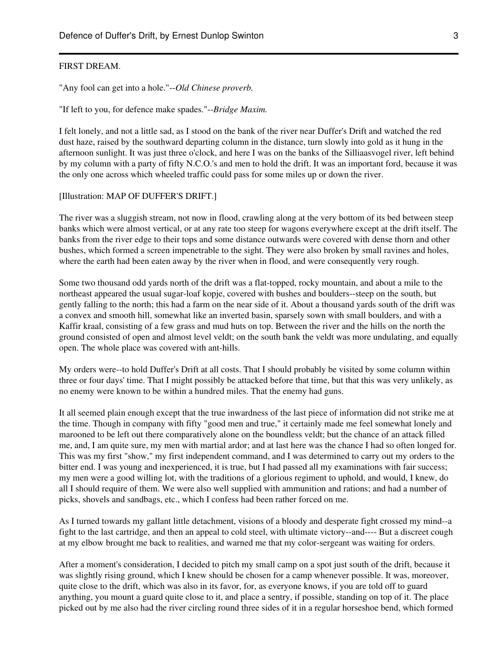#### FIRST DREAM.

"Any fool can get into a hole."--*Old Chinese proverb.*

"If left to you, for defence make spades."--*Bridge Maxim.*

I felt lonely, and not a little sad, as I stood on the bank of the river near Duffer's Drift and watched the red dust haze, raised by the southward departing column in the distance, turn slowly into gold as it hung in the afternoon sunlight. It was just three o'clock, and here I was on the banks of the Silliaasvogel river, left behind by my column with a party of fifty N.C.O.'s and men to hold the drift. It was an important ford, because it was the only one across which wheeled traffic could pass for some miles up or down the river.

#### [Illustration: MAP OF DUFFER'S DRIFT.]

The river was a sluggish stream, not now in flood, crawling along at the very bottom of its bed between steep banks which were almost vertical, or at any rate too steep for wagons everywhere except at the drift itself. The banks from the river edge to their tops and some distance outwards were covered with dense thorn and other bushes, which formed a screen impenetrable to the sight. They were also broken by small ravines and holes, where the earth had been eaten away by the river when in flood, and were consequently very rough.

Some two thousand odd yards north of the drift was a flat-topped, rocky mountain, and about a mile to the northeast appeared the usual sugar-loaf kopje, covered with bushes and boulders--steep on the south, but gently falling to the north; this had a farm on the near side of it. About a thousand yards south of the drift was a convex and smooth hill, somewhat like an inverted basin, sparsely sown with small boulders, and with a Kaffir kraal, consisting of a few grass and mud huts on top. Between the river and the hills on the north the ground consisted of open and almost level veldt; on the south bank the veldt was more undulating, and equally open. The whole place was covered with ant-hills.

My orders were--to hold Duffer's Drift at all costs. That I should probably be visited by some column within three or four days' time. That I might possibly be attacked before that time, but that this was very unlikely, as no enemy were known to be within a hundred miles. That the enemy had guns.

It all seemed plain enough except that the true inwardness of the last piece of information did not strike me at the time. Though in company with fifty "good men and true," it certainly made me feel somewhat lonely and marooned to be left out there comparatively alone on the boundless veldt; but the chance of an attack filled me, and, I am quite sure, my men with martial ardor; and at last here was the chance I had so often longed for. This was my first "show," my first independent command, and I was determined to carry out my orders to the bitter end. I was young and inexperienced, it is true, but I had passed all my examinations with fair success; my men were a good willing lot, with the traditions of a glorious regiment to uphold, and would, I knew, do all I should require of them. We were also well supplied with ammunition and rations; and had a number of picks, shovels and sandbags, etc., which I confess had been rather forced on me.

As I turned towards my gallant little detachment, visions of a bloody and desperate fight crossed my mind--a fight to the last cartridge, and then an appeal to cold steel, with ultimate victory--and---- But a discreet cough at my elbow brought me back to realities, and warned me that my color-sergeant was waiting for orders.

After a moment's consideration, I decided to pitch my small camp on a spot just south of the drift, because it was slightly rising ground, which I knew should be chosen for a camp whenever possible. It was, moreover, quite close to the drift, which was also in its favor, for, as everyone knows, if you are told off to guard anything, you mount a guard quite close to it, and place a sentry, if possible, standing on top of it. The place picked out by me also had the river circling round three sides of it in a regular horseshoe bend, which formed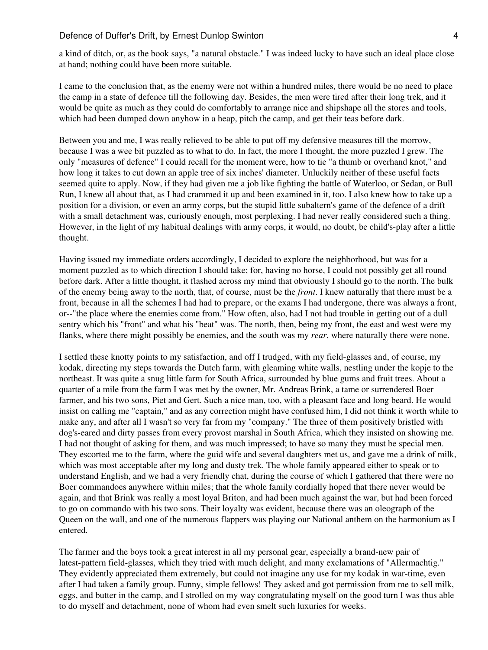a kind of ditch, or, as the book says, "a natural obstacle." I was indeed lucky to have such an ideal place close at hand; nothing could have been more suitable.

I came to the conclusion that, as the enemy were not within a hundred miles, there would be no need to place the camp in a state of defence till the following day. Besides, the men were tired after their long trek, and it would be quite as much as they could do comfortably to arrange nice and shipshape all the stores and tools, which had been dumped down anyhow in a heap, pitch the camp, and get their teas before dark.

Between you and me, I was really relieved to be able to put off my defensive measures till the morrow, because I was a wee bit puzzled as to what to do. In fact, the more I thought, the more puzzled I grew. The only "measures of defence" I could recall for the moment were, how to tie "a thumb or overhand knot," and how long it takes to cut down an apple tree of six inches' diameter. Unluckily neither of these useful facts seemed quite to apply. Now, if they had given me a job like fighting the battle of Waterloo, or Sedan, or Bull Run, I knew all about that, as I had crammed it up and been examined in it, too. I also knew how to take up a position for a division, or even an army corps, but the stupid little subaltern's game of the defence of a drift with a small detachment was, curiously enough, most perplexing. I had never really considered such a thing. However, in the light of my habitual dealings with army corps, it would, no doubt, be child's-play after a little thought.

Having issued my immediate orders accordingly, I decided to explore the neighborhood, but was for a moment puzzled as to which direction I should take; for, having no horse, I could not possibly get all round before dark. After a little thought, it flashed across my mind that obviously I should go to the north. The bulk of the enemy being away to the north, that, of course, must be the *front*. I knew naturally that there must be a front, because in all the schemes I had had to prepare, or the exams I had undergone, there was always a front, or--"the place where the enemies come from." How often, also, had I not had trouble in getting out of a dull sentry which his "front" and what his "beat" was. The north, then, being my front, the east and west were my flanks, where there might possibly be enemies, and the south was my *rear*, where naturally there were none.

I settled these knotty points to my satisfaction, and off I trudged, with my field-glasses and, of course, my kodak, directing my steps towards the Dutch farm, with gleaming white walls, nestling under the kopje to the northeast. It was quite a snug little farm for South Africa, surrounded by blue gums and fruit trees. About a quarter of a mile from the farm I was met by the owner, Mr. Andreas Brink, a tame or surrendered Boer farmer, and his two sons, Piet and Gert. Such a nice man, too, with a pleasant face and long beard. He would insist on calling me "captain," and as any correction might have confused him, I did not think it worth while to make any, and after all I wasn't so very far from my "company." The three of them positively bristled with dog's-eared and dirty passes from every provost marshal in South Africa, which they insisted on showing me. I had not thought of asking for them, and was much impressed; to have so many they must be special men. They escorted me to the farm, where the guid wife and several daughters met us, and gave me a drink of milk, which was most acceptable after my long and dusty trek. The whole family appeared either to speak or to understand English, and we had a very friendly chat, during the course of which I gathered that there were no Boer commandoes anywhere within miles; that the whole family cordially hoped that there never would be again, and that Brink was really a most loyal Briton, and had been much against the war, but had been forced to go on commando with his two sons. Their loyalty was evident, because there was an oleograph of the Queen on the wall, and one of the numerous flappers was playing our National anthem on the harmonium as I entered.

The farmer and the boys took a great interest in all my personal gear, especially a brand-new pair of latest-pattern field-glasses, which they tried with much delight, and many exclamations of "Allermachtig." They evidently appreciated them extremely, but could not imagine any use for my kodak in war-time, even after I had taken a family group. Funny, simple fellows! They asked and got permission from me to sell milk, eggs, and butter in the camp, and I strolled on my way congratulating myself on the good turn I was thus able to do myself and detachment, none of whom had even smelt such luxuries for weeks.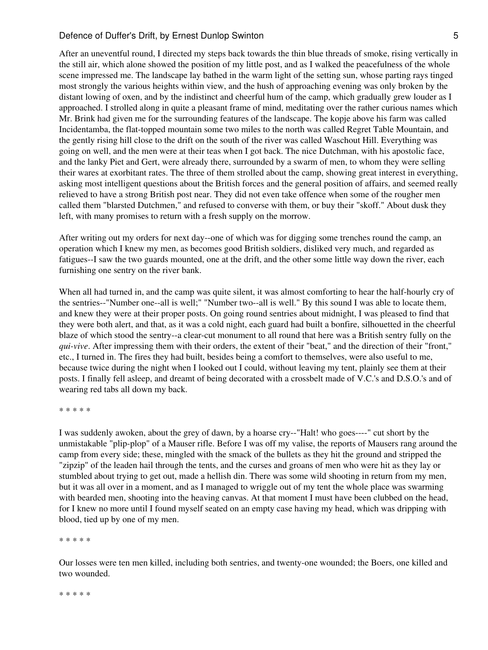After an uneventful round, I directed my steps back towards the thin blue threads of smoke, rising vertically in the still air, which alone showed the position of my little post, and as I walked the peacefulness of the whole scene impressed me. The landscape lay bathed in the warm light of the setting sun, whose parting rays tinged most strongly the various heights within view, and the hush of approaching evening was only broken by the distant lowing of oxen, and by the indistinct and cheerful hum of the camp, which gradually grew louder as I approached. I strolled along in quite a pleasant frame of mind, meditating over the rather curious names which Mr. Brink had given me for the surrounding features of the landscape. The kopje above his farm was called Incidentamba, the flat-topped mountain some two miles to the north was called Regret Table Mountain, and the gently rising hill close to the drift on the south of the river was called Waschout Hill. Everything was going on well, and the men were at their teas when I got back. The nice Dutchman, with his apostolic face, and the lanky Piet and Gert, were already there, surrounded by a swarm of men, to whom they were selling their wares at exorbitant rates. The three of them strolled about the camp, showing great interest in everything, asking most intelligent questions about the British forces and the general position of affairs, and seemed really relieved to have a strong British post near. They did not even take offence when some of the rougher men called them "blarsted Dutchmen," and refused to converse with them, or buy their "skoff." About dusk they left, with many promises to return with a fresh supply on the morrow.

After writing out my orders for next day--one of which was for digging some trenches round the camp, an operation which I knew my men, as becomes good British soldiers, disliked very much, and regarded as fatigues--I saw the two guards mounted, one at the drift, and the other some little way down the river, each furnishing one sentry on the river bank.

When all had turned in, and the camp was quite silent, it was almost comforting to hear the half-hourly cry of the sentries--"Number one--all is well;" "Number two--all is well." By this sound I was able to locate them, and knew they were at their proper posts. On going round sentries about midnight, I was pleased to find that they were both alert, and that, as it was a cold night, each guard had built a bonfire, silhouetted in the cheerful blaze of which stood the sentry--a clear-cut monument to all round that here was a British sentry fully on the *qui-vive*. After impressing them with their orders, the extent of their "beat," and the direction of their "front," etc., I turned in. The fires they had built, besides being a comfort to themselves, were also useful to me, because twice during the night when I looked out I could, without leaving my tent, plainly see them at their posts. I finally fell asleep, and dreamt of being decorated with a crossbelt made of V.C.'s and D.S.O.'s and of wearing red tabs all down my back.

\* \* \* \* \*

I was suddenly awoken, about the grey of dawn, by a hoarse cry--"Halt! who goes----" cut short by the unmistakable "plip-plop" of a Mauser rifle. Before I was off my valise, the reports of Mausers rang around the camp from every side; these, mingled with the smack of the bullets as they hit the ground and stripped the "zipzip" of the leaden hail through the tents, and the curses and groans of men who were hit as they lay or stumbled about trying to get out, made a hellish din. There was some wild shooting in return from my men, but it was all over in a moment, and as I managed to wriggle out of my tent the whole place was swarming with bearded men, shooting into the heaving canvas. At that moment I must have been clubbed on the head, for I knew no more until I found myself seated on an empty case having my head, which was dripping with blood, tied up by one of my men.

\* \* \* \* \*

Our losses were ten men killed, including both sentries, and twenty-one wounded; the Boers, one killed and two wounded.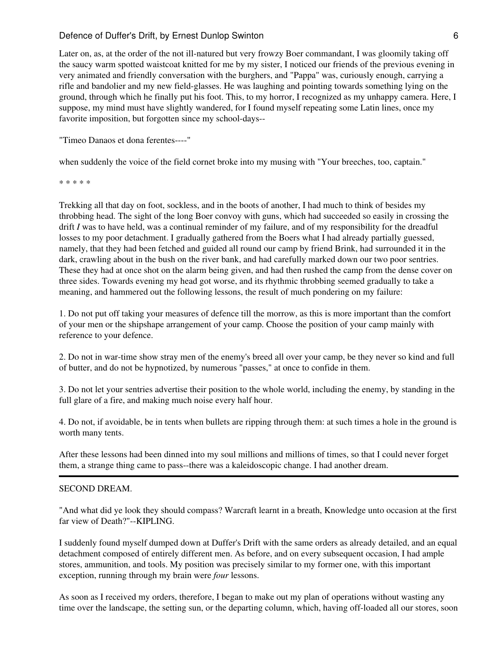Later on, as, at the order of the not ill-natured but very frowzy Boer commandant, I was gloomily taking off the saucy warm spotted waistcoat knitted for me by my sister, I noticed our friends of the previous evening in very animated and friendly conversation with the burghers, and "Pappa" was, curiously enough, carrying a rifle and bandolier and my new field-glasses. He was laughing and pointing towards something lying on the ground, through which he finally put his foot. This, to my horror, I recognized as my unhappy camera. Here, I suppose, my mind must have slightly wandered, for I found myself repeating some Latin lines, once my favorite imposition, but forgotten since my school-days--

"Timeo Danaos et dona ferentes----"

when suddenly the voice of the field cornet broke into my musing with "Your breeches, too, captain."

\* \* \* \* \*

Trekking all that day on foot, sockless, and in the boots of another, I had much to think of besides my throbbing head. The sight of the long Boer convoy with guns, which had succeeded so easily in crossing the drift *I* was to have held, was a continual reminder of my failure, and of my responsibility for the dreadful losses to my poor detachment. I gradually gathered from the Boers what I had already partially guessed, namely, that they had been fetched and guided all round our camp by friend Brink, had surrounded it in the dark, crawling about in the bush on the river bank, and had carefully marked down our two poor sentries. These they had at once shot on the alarm being given, and had then rushed the camp from the dense cover on three sides. Towards evening my head got worse, and its rhythmic throbbing seemed gradually to take a meaning, and hammered out the following lessons, the result of much pondering on my failure:

1. Do not put off taking your measures of defence till the morrow, as this is more important than the comfort of your men or the shipshape arrangement of your camp. Choose the position of your camp mainly with reference to your defence.

2. Do not in war-time show stray men of the enemy's breed all over your camp, be they never so kind and full of butter, and do not be hypnotized, by numerous "passes," at once to confide in them.

3. Do not let your sentries advertise their position to the whole world, including the enemy, by standing in the full glare of a fire, and making much noise every half hour.

4. Do not, if avoidable, be in tents when bullets are ripping through them: at such times a hole in the ground is worth many tents.

After these lessons had been dinned into my soul millions and millions of times, so that I could never forget them, a strange thing came to pass--there was a kaleidoscopic change. I had another dream.

#### SECOND DREAM.

"And what did ye look they should compass? Warcraft learnt in a breath, Knowledge unto occasion at the first far view of Death?"--KIPLING.

I suddenly found myself dumped down at Duffer's Drift with the same orders as already detailed, and an equal detachment composed of entirely different men. As before, and on every subsequent occasion, I had ample stores, ammunition, and tools. My position was precisely similar to my former one, with this important exception, running through my brain were *four* lessons.

As soon as I received my orders, therefore, I began to make out my plan of operations without wasting any time over the landscape, the setting sun, or the departing column, which, having off-loaded all our stores, soon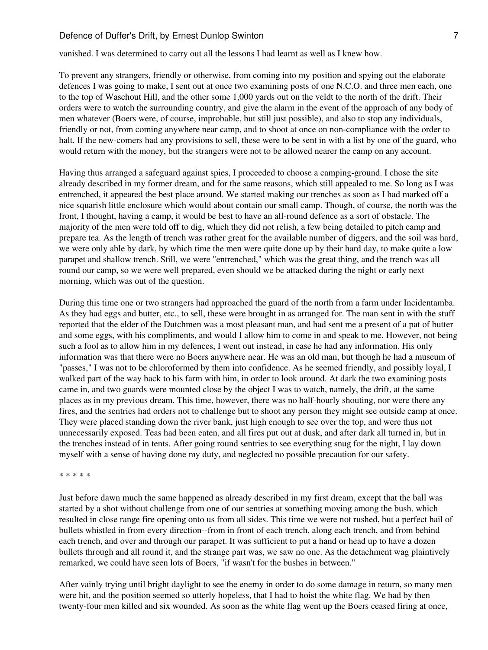vanished. I was determined to carry out all the lessons I had learnt as well as I knew how.

To prevent any strangers, friendly or otherwise, from coming into my position and spying out the elaborate defences I was going to make, I sent out at once two examining posts of one N.C.O. and three men each, one to the top of Waschout Hill, and the other some 1,000 yards out on the veldt to the north of the drift. Their orders were to watch the surrounding country, and give the alarm in the event of the approach of any body of men whatever (Boers were, of course, improbable, but still just possible), and also to stop any individuals, friendly or not, from coming anywhere near camp, and to shoot at once on non-compliance with the order to halt. If the new-comers had any provisions to sell, these were to be sent in with a list by one of the guard, who would return with the money, but the strangers were not to be allowed nearer the camp on any account.

Having thus arranged a safeguard against spies, I proceeded to choose a camping-ground. I chose the site already described in my former dream, and for the same reasons, which still appealed to me. So long as I was entrenched, it appeared the best place around. We started making our trenches as soon as I had marked off a nice squarish little enclosure which would about contain our small camp. Though, of course, the north was the front, I thought, having a camp, it would be best to have an all-round defence as a sort of obstacle. The majority of the men were told off to dig, which they did not relish, a few being detailed to pitch camp and prepare tea. As the length of trench was rather great for the available number of diggers, and the soil was hard, we were only able by dark, by which time the men were quite done up by their hard day, to make quite a low parapet and shallow trench. Still, we were "entrenched," which was the great thing, and the trench was all round our camp, so we were well prepared, even should we be attacked during the night or early next morning, which was out of the question.

During this time one or two strangers had approached the guard of the north from a farm under Incidentamba. As they had eggs and butter, etc., to sell, these were brought in as arranged for. The man sent in with the stuff reported that the elder of the Dutchmen was a most pleasant man, and had sent me a present of a pat of butter and some eggs, with his compliments, and would I allow him to come in and speak to me. However, not being such a fool as to allow him in my defences, I went out instead, in case he had any information. His only information was that there were no Boers anywhere near. He was an old man, but though he had a museum of "passes," I was not to be chloroformed by them into confidence. As he seemed friendly, and possibly loyal, I walked part of the way back to his farm with him, in order to look around. At dark the two examining posts came in, and two guards were mounted close by the object I was to watch, namely, the drift, at the same places as in my previous dream. This time, however, there was no half-hourly shouting, nor were there any fires, and the sentries had orders not to challenge but to shoot any person they might see outside camp at once. They were placed standing down the river bank, just high enough to see over the top, and were thus not unnecessarily exposed. Teas had been eaten, and all fires put out at dusk, and after dark all turned in, but in the trenches instead of in tents. After going round sentries to see everything snug for the night, I lay down myself with a sense of having done my duty, and neglected no possible precaution for our safety.

\* \* \* \* \*

Just before dawn much the same happened as already described in my first dream, except that the ball was started by a shot without challenge from one of our sentries at something moving among the bush, which resulted in close range fire opening onto us from all sides. This time we were not rushed, but a perfect hail of bullets whistled in from every direction--from in front of each trench, along each trench, and from behind each trench, and over and through our parapet. It was sufficient to put a hand or head up to have a dozen bullets through and all round it, and the strange part was, we saw no one. As the detachment wag plaintively remarked, we could have seen lots of Boers, "if wasn't for the bushes in between."

After vainly trying until bright daylight to see the enemy in order to do some damage in return, so many men were hit, and the position seemed so utterly hopeless, that I had to hoist the white flag. We had by then twenty-four men killed and six wounded. As soon as the white flag went up the Boers ceased firing at once,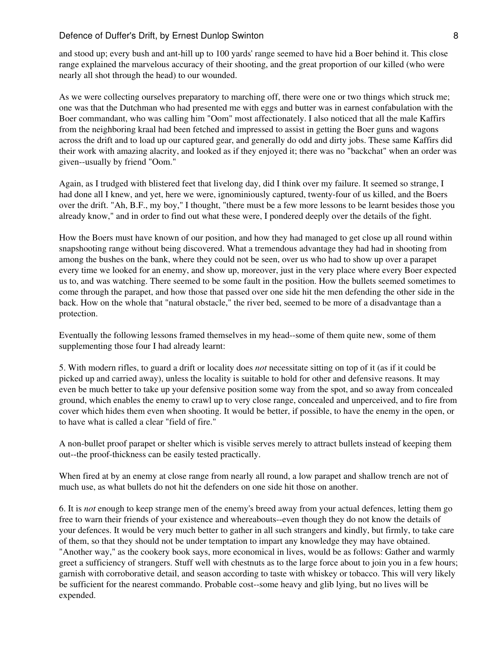# Defence of Duffer's Drift, by Ernest Dunlop Swinton 8 (2008) 8 (2008) 8 (2008) 8 (2008) 8 (2008) 8 (2008) 8 (2008) 8 (2008) 8 (2008) 8 (2008) 8 (2008) 8 (2008) 8 (2008) 8 (2008) 8 (2008) 8 (2008) 8 (2008) 8 (2008) 8 (2008)

and stood up; every bush and ant-hill up to 100 yards' range seemed to have hid a Boer behind it. This close range explained the marvelous accuracy of their shooting, and the great proportion of our killed (who were nearly all shot through the head) to our wounded.

As we were collecting ourselves preparatory to marching off, there were one or two things which struck me; one was that the Dutchman who had presented me with eggs and butter was in earnest confabulation with the Boer commandant, who was calling him "Oom" most affectionately. I also noticed that all the male Kaffirs from the neighboring kraal had been fetched and impressed to assist in getting the Boer guns and wagons across the drift and to load up our captured gear, and generally do odd and dirty jobs. These same Kaffirs did their work with amazing alacrity, and looked as if they enjoyed it; there was no "backchat" when an order was given--usually by friend "Oom."

Again, as I trudged with blistered feet that livelong day, did I think over my failure. It seemed so strange, I had done all I knew, and yet, here we were, ignominiously captured, twenty-four of us killed, and the Boers over the drift. "Ah, B.F., my boy," I thought, "there must be a few more lessons to be learnt besides those you already know," and in order to find out what these were, I pondered deeply over the details of the fight.

How the Boers must have known of our position, and how they had managed to get close up all round within snapshooting range without being discovered. What a tremendous advantage they had had in shooting from among the bushes on the bank, where they could not be seen, over us who had to show up over a parapet every time we looked for an enemy, and show up, moreover, just in the very place where every Boer expected us to, and was watching. There seemed to be some fault in the position. How the bullets seemed sometimes to come through the parapet, and how those that passed over one side hit the men defending the other side in the back. How on the whole that "natural obstacle," the river bed, seemed to be more of a disadvantage than a protection.

Eventually the following lessons framed themselves in my head--some of them quite new, some of them supplementing those four I had already learnt:

5. With modern rifles, to guard a drift or locality does *not* necessitate sitting on top of it (as if it could be picked up and carried away), unless the locality is suitable to hold for other and defensive reasons. It may even be much better to take up your defensive position some way from the spot, and so away from concealed ground, which enables the enemy to crawl up to very close range, concealed and unperceived, and to fire from cover which hides them even when shooting. It would be better, if possible, to have the enemy in the open, or to have what is called a clear "field of fire."

A non-bullet proof parapet or shelter which is visible serves merely to attract bullets instead of keeping them out--the proof-thickness can be easily tested practically.

When fired at by an enemy at close range from nearly all round, a low parapet and shallow trench are not of much use, as what bullets do not hit the defenders on one side hit those on another.

6. It is *not* enough to keep strange men of the enemy's breed away from your actual defences, letting them go free to warn their friends of your existence and whereabouts--even though they do not know the details of your defences. It would be very much better to gather in all such strangers and kindly, but firmly, to take care of them, so that they should not be under temptation to impart any knowledge they may have obtained. "Another way," as the cookery book says, more economical in lives, would be as follows: Gather and warmly greet a sufficiency of strangers. Stuff well with chestnuts as to the large force about to join you in a few hours; garnish with corroborative detail, and season according to taste with whiskey or tobacco. This will very likely be sufficient for the nearest commando. Probable cost--some heavy and glib lying, but no lives will be expended.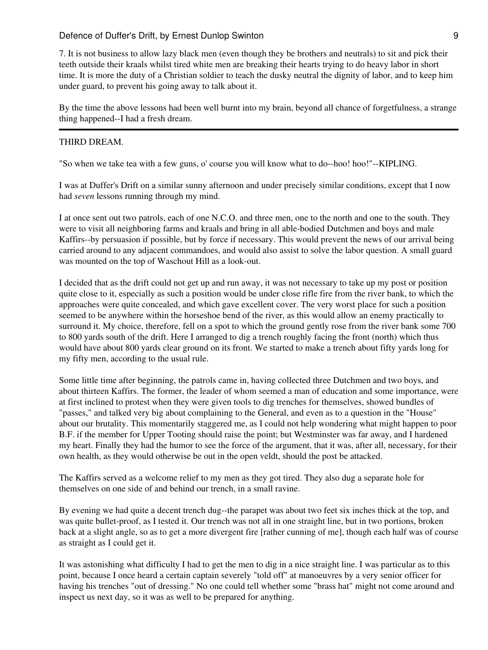7. It is not business to allow lazy black men (even though they be brothers and neutrals) to sit and pick their teeth outside their kraals whilst tired white men are breaking their hearts trying to do heavy labor in short time. It is more the duty of a Christian soldier to teach the dusky neutral the dignity of labor, and to keep him under guard, to prevent his going away to talk about it.

By the time the above lessons had been well burnt into my brain, beyond all chance of forgetfulness, a strange thing happened--I had a fresh dream.

## THIRD DREAM.

"So when we take tea with a few guns, o' course you will know what to do--hoo! hoo!"--KIPLING.

I was at Duffer's Drift on a similar sunny afternoon and under precisely similar conditions, except that I now had *seven* lessons running through my mind.

I at once sent out two patrols, each of one N.C.O. and three men, one to the north and one to the south. They were to visit all neighboring farms and kraals and bring in all able-bodied Dutchmen and boys and male Kaffirs--by persuasion if possible, but by force if necessary. This would prevent the news of our arrival being carried around to any adjacent commandoes, and would also assist to solve the labor question. A small guard was mounted on the top of Waschout Hill as a look-out.

I decided that as the drift could not get up and run away, it was not necessary to take up my post or position quite close to it, especially as such a position would be under close rifle fire from the river bank, to which the approaches were quite concealed, and which gave excellent cover. The very worst place for such a position seemed to be anywhere within the horseshoe bend of the river, as this would allow an enemy practically to surround it. My choice, therefore, fell on a spot to which the ground gently rose from the river bank some 700 to 800 yards south of the drift. Here I arranged to dig a trench roughly facing the front (north) which thus would have about 800 yards clear ground on its front. We started to make a trench about fifty yards long for my fifty men, according to the usual rule.

Some little time after beginning, the patrols came in, having collected three Dutchmen and two boys, and about thirteen Kaffirs. The former, the leader of whom seemed a man of education and some importance, were at first inclined to protest when they were given tools to dig trenches for themselves, showed bundles of "passes," and talked very big about complaining to the General, and even as to a question in the "House" about our brutality. This momentarily staggered me, as I could not help wondering what might happen to poor B.F. if the member for Upper Tooting should raise the point; but Westminster was far away, and I hardened my heart. Finally they had the humor to see the force of the argument, that it was, after all, necessary, for their own health, as they would otherwise be out in the open veldt, should the post be attacked.

The Kaffirs served as a welcome relief to my men as they got tired. They also dug a separate hole for themselves on one side of and behind our trench, in a small ravine.

By evening we had quite a decent trench dug--the parapet was about two feet six inches thick at the top, and was quite bullet-proof, as I tested it. Our trench was not all in one straight line, but in two portions, broken back at a slight angle, so as to get a more divergent fire [rather cunning of me], though each half was of course as straight as I could get it.

It was astonishing what difficulty I had to get the men to dig in a nice straight line. I was particular as to this point, because I once heard a certain captain severely "told off" at manoeuvres by a very senior officer for having his trenches "out of dressing." No one could tell whether some "brass hat" might not come around and inspect us next day, so it was as well to be prepared for anything.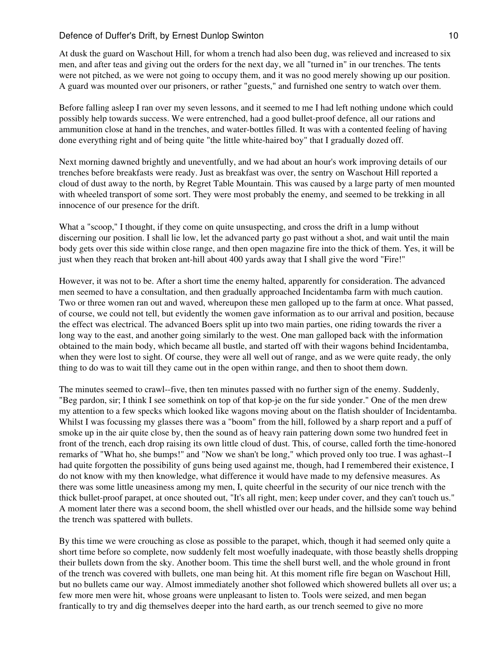At dusk the guard on Waschout Hill, for whom a trench had also been dug, was relieved and increased to six men, and after teas and giving out the orders for the next day, we all "turned in" in our trenches. The tents were not pitched, as we were not going to occupy them, and it was no good merely showing up our position. A guard was mounted over our prisoners, or rather "guests," and furnished one sentry to watch over them.

Before falling asleep I ran over my seven lessons, and it seemed to me I had left nothing undone which could possibly help towards success. We were entrenched, had a good bullet-proof defence, all our rations and ammunition close at hand in the trenches, and water-bottles filled. It was with a contented feeling of having done everything right and of being quite "the little white-haired boy" that I gradually dozed off.

Next morning dawned brightly and uneventfully, and we had about an hour's work improving details of our trenches before breakfasts were ready. Just as breakfast was over, the sentry on Waschout Hill reported a cloud of dust away to the north, by Regret Table Mountain. This was caused by a large party of men mounted with wheeled transport of some sort. They were most probably the enemy, and seemed to be trekking in all innocence of our presence for the drift.

What a "scoop," I thought, if they come on quite unsuspecting, and cross the drift in a lump without discerning our position. I shall lie low, let the advanced party go past without a shot, and wait until the main body gets over this side within close range, and then open magazine fire into the thick of them. Yes, it will be just when they reach that broken ant-hill about 400 yards away that I shall give the word "Fire!"

However, it was not to be. After a short time the enemy halted, apparently for consideration. The advanced men seemed to have a consultation, and then gradually approached Incidentamba farm with much caution. Two or three women ran out and waved, whereupon these men galloped up to the farm at once. What passed, of course, we could not tell, but evidently the women gave information as to our arrival and position, because the effect was electrical. The advanced Boers split up into two main parties, one riding towards the river a long way to the east, and another going similarly to the west. One man galloped back with the information obtained to the main body, which became all bustle, and started off with their wagons behind Incidentamba, when they were lost to sight. Of course, they were all well out of range, and as we were quite ready, the only thing to do was to wait till they came out in the open within range, and then to shoot them down.

The minutes seemed to crawl--five, then ten minutes passed with no further sign of the enemy. Suddenly, "Beg pardon, sir; I think I see somethink on top of that kop-je on the fur side yonder." One of the men drew my attention to a few specks which looked like wagons moving about on the flatish shoulder of Incidentamba. Whilst I was focussing my glasses there was a "boom" from the hill, followed by a sharp report and a puff of smoke up in the air quite close by, then the sound as of heavy rain pattering down some two hundred feet in front of the trench, each drop raising its own little cloud of dust. This, of course, called forth the time-honored remarks of "What ho, she bumps!" and "Now we shan't be long," which proved only too true. I was aghast--I had quite forgotten the possibility of guns being used against me, though, had I remembered their existence, I do not know with my then knowledge, what difference it would have made to my defensive measures. As there was some little uneasiness among my men, I, quite cheerful in the security of our nice trench with the thick bullet-proof parapet, at once shouted out, "It's all right, men; keep under cover, and they can't touch us." A moment later there was a second boom, the shell whistled over our heads, and the hillside some way behind the trench was spattered with bullets.

By this time we were crouching as close as possible to the parapet, which, though it had seemed only quite a short time before so complete, now suddenly felt most woefully inadequate, with those beastly shells dropping their bullets down from the sky. Another boom. This time the shell burst well, and the whole ground in front of the trench was covered with bullets, one man being hit. At this moment rifle fire began on Waschout Hill, but no bullets came our way. Almost immediately another shot followed which showered bullets all over us; a few more men were hit, whose groans were unpleasant to listen to. Tools were seized, and men began frantically to try and dig themselves deeper into the hard earth, as our trench seemed to give no more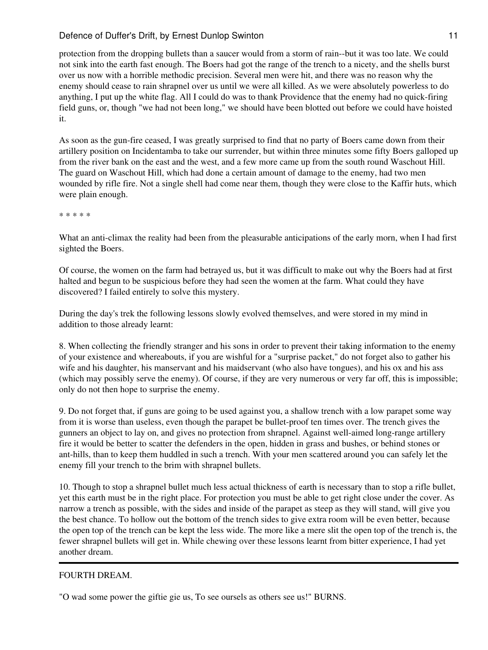protection from the dropping bullets than a saucer would from a storm of rain--but it was too late. We could not sink into the earth fast enough. The Boers had got the range of the trench to a nicety, and the shells burst over us now with a horrible methodic precision. Several men were hit, and there was no reason why the enemy should cease to rain shrapnel over us until we were all killed. As we were absolutely powerless to do anything, I put up the white flag. All I could do was to thank Providence that the enemy had no quick-firing field guns, or, though "we had not been long," we should have been blotted out before we could have hoisted it.

As soon as the gun-fire ceased, I was greatly surprised to find that no party of Boers came down from their artillery position on Incidentamba to take our surrender, but within three minutes some fifty Boers galloped up from the river bank on the east and the west, and a few more came up from the south round Waschout Hill. The guard on Waschout Hill, which had done a certain amount of damage to the enemy, had two men wounded by rifle fire. Not a single shell had come near them, though they were close to the Kaffir huts, which were plain enough.

\* \* \* \* \*

What an anti-climax the reality had been from the pleasurable anticipations of the early morn, when I had first sighted the Boers.

Of course, the women on the farm had betrayed us, but it was difficult to make out why the Boers had at first halted and begun to be suspicious before they had seen the women at the farm. What could they have discovered? I failed entirely to solve this mystery.

During the day's trek the following lessons slowly evolved themselves, and were stored in my mind in addition to those already learnt:

8. When collecting the friendly stranger and his sons in order to prevent their taking information to the enemy of your existence and whereabouts, if you are wishful for a "surprise packet," do not forget also to gather his wife and his daughter, his manservant and his maidservant (who also have tongues), and his ox and his ass (which may possibly serve the enemy). Of course, if they are very numerous or very far off, this is impossible; only do not then hope to surprise the enemy.

9. Do not forget that, if guns are going to be used against you, a shallow trench with a low parapet some way from it is worse than useless, even though the parapet be bullet-proof ten times over. The trench gives the gunners an object to lay on, and gives no protection from shrapnel. Against well-aimed long-range artillery fire it would be better to scatter the defenders in the open, hidden in grass and bushes, or behind stones or ant-hills, than to keep them huddled in such a trench. With your men scattered around you can safely let the enemy fill your trench to the brim with shrapnel bullets.

10. Though to stop a shrapnel bullet much less actual thickness of earth is necessary than to stop a rifle bullet, yet this earth must be in the right place. For protection you must be able to get right close under the cover. As narrow a trench as possible, with the sides and inside of the parapet as steep as they will stand, will give you the best chance. To hollow out the bottom of the trench sides to give extra room will be even better, because the open top of the trench can be kept the less wide. The more like a mere slit the open top of the trench is, the fewer shrapnel bullets will get in. While chewing over these lessons learnt from bitter experience, I had yet another dream.

# FOURTH DREAM.

"O wad some power the giftie gie us, To see oursels as others see us!" BURNS.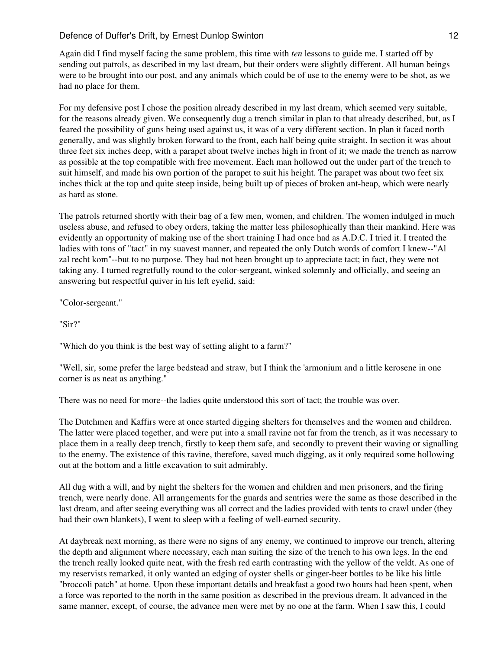Again did I find myself facing the same problem, this time with *ten* lessons to guide me. I started off by sending out patrols, as described in my last dream, but their orders were slightly different. All human beings were to be brought into our post, and any animals which could be of use to the enemy were to be shot, as we had no place for them.

For my defensive post I chose the position already described in my last dream, which seemed very suitable, for the reasons already given. We consequently dug a trench similar in plan to that already described, but, as I feared the possibility of guns being used against us, it was of a very different section. In plan it faced north generally, and was slightly broken forward to the front, each half being quite straight. In section it was about three feet six inches deep, with a parapet about twelve inches high in front of it; we made the trench as narrow as possible at the top compatible with free movement. Each man hollowed out the under part of the trench to suit himself, and made his own portion of the parapet to suit his height. The parapet was about two feet six inches thick at the top and quite steep inside, being built up of pieces of broken ant-heap, which were nearly as hard as stone.

The patrols returned shortly with their bag of a few men, women, and children. The women indulged in much useless abuse, and refused to obey orders, taking the matter less philosophically than their mankind. Here was evidently an opportunity of making use of the short training I had once had as A.D.C. I tried it. I treated the ladies with tons of "tact" in my suavest manner, and repeated the only Dutch words of comfort I knew--"Al zal recht kom"--but to no purpose. They had not been brought up to appreciate tact; in fact, they were not taking any. I turned regretfully round to the color-sergeant, winked solemnly and officially, and seeing an answering but respectful quiver in his left eyelid, said:

"Color-sergeant."

"Sir?"

"Which do you think is the best way of setting alight to a farm?"

"Well, sir, some prefer the large bedstead and straw, but I think the 'armonium and a little kerosene in one corner is as neat as anything."

There was no need for more--the ladies quite understood this sort of tact; the trouble was over.

The Dutchmen and Kaffirs were at once started digging shelters for themselves and the women and children. The latter were placed together, and were put into a small ravine not far from the trench, as it was necessary to place them in a really deep trench, firstly to keep them safe, and secondly to prevent their waving or signalling to the enemy. The existence of this ravine, therefore, saved much digging, as it only required some hollowing out at the bottom and a little excavation to suit admirably.

All dug with a will, and by night the shelters for the women and children and men prisoners, and the firing trench, were nearly done. All arrangements for the guards and sentries were the same as those described in the last dream, and after seeing everything was all correct and the ladies provided with tents to crawl under (they had their own blankets), I went to sleep with a feeling of well-earned security.

At daybreak next morning, as there were no signs of any enemy, we continued to improve our trench, altering the depth and alignment where necessary, each man suiting the size of the trench to his own legs. In the end the trench really looked quite neat, with the fresh red earth contrasting with the yellow of the veldt. As one of my reservists remarked, it only wanted an edging of oyster shells or ginger-beer bottles to be like his little "broccoli patch" at home. Upon these important details and breakfast a good two hours had been spent, when a force was reported to the north in the same position as described in the previous dream. It advanced in the same manner, except, of course, the advance men were met by no one at the farm. When I saw this, I could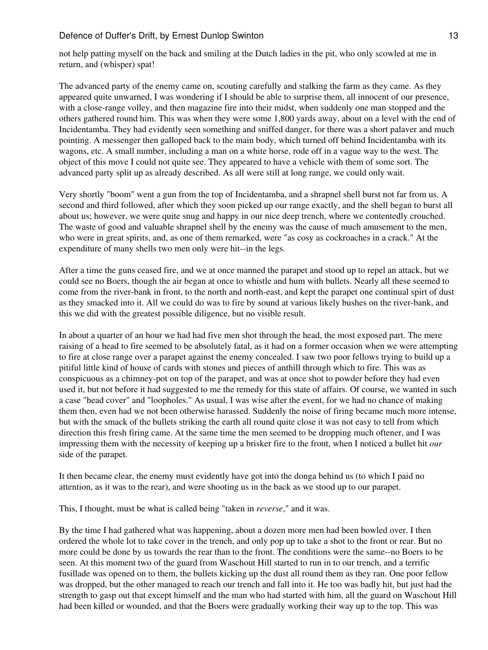not help patting myself on the back and smiling at the Dutch ladies in the pit, who only scowled at me in return, and (whisper) spat!

The advanced party of the enemy came on, scouting carefully and stalking the farm as they came. As they appeared quite unwarned, I was wondering if I should be able to surprise them, all innocent of our presence, with a close-range volley, and then magazine fire into their midst, when suddenly one man stopped and the others gathered round him. This was when they were some 1,800 yards away, about on a level with the end of Incidentamba. They had evidently seen something and sniffed danger, for there was a short palaver and much pointing. A messenger then galloped back to the main body, which turned off behind Incidentamba with its wagons, etc. A small number, including a man on a white horse, rode off in a vague way to the west. The object of this move I could not quite see. They appeared to have a vehicle with them of some sort. The advanced party split up as already described. As all were still at long range, we could only wait.

Very shortly "boom" went a gun from the top of Incidentamba, and a shrapnel shell burst not far from us. A second and third followed, after which they soon picked up our range exactly, and the shell began to burst all about us; however, we were quite snug and happy in our nice deep trench, where we contentedly crouched. The waste of good and valuable shrapnel shell by the enemy was the cause of much amusement to the men, who were in great spirits, and, as one of them remarked, were "as cosy as cockroaches in a crack." At the expenditure of many shells two men only were hit--in the legs.

After a time the guns ceased fire, and we at once manned the parapet and stood up to repel an attack, but we could see no Boers, though the air began at once to whistle and hum with bullets. Nearly all these seemed to come from the river-bank in front, to the north and north-east, and kept the parapet one continual spirt of dust as they smacked into it. All we could do was to fire by sound at various likely bushes on the river-bank, and this we did with the greatest possible diligence, but no visible result.

In about a quarter of an hour we had had five men shot through the head, the most exposed part. The mere raising of a head to fire seemed to be absolutely fatal, as it had on a former occasion when we were attempting to fire at close range over a parapet against the enemy concealed. I saw two poor fellows trying to build up a pitiful little kind of house of cards with stones and pieces of anthill through which to fire. This was as conspicuous as a chimney-pot on top of the parapet, and was at once shot to powder before they had even used it, but not before it had suggested to me the remedy for this state of affairs. Of course, we wanted in such a case "head cover" and "loopholes." As usual, I was wise after the event, for we had no chance of making them then, even had we not been otherwise harassed. Suddenly the noise of firing became much more intense, but with the smack of the bullets striking the earth all round quite close it was not easy to tell from which direction this fresh firing came. At the same time the men seemed to be dropping much oftener, and I was impressing them with the necessity of keeping up a brisker fire to the front, when I noticed a bullet hit *our* side of the parapet.

It then became clear, the enemy must evidently have got into the donga behind us (to which I paid no attention, as it was to the rear), and were shooting us in the back as we stood up to our parapet.

This, I thought, must be what is called being "taken in *reverse*," and it was.

By the time I had gathered what was happening, about a dozen more men had been bowled over. I then ordered the whole lot to take cover in the trench, and only pop up to take a shot to the front or rear. But no more could be done by us towards the rear than to the front. The conditions were the same--no Boers to be seen. At this moment two of the guard from Waschout Hill started to run in to our trench, and a terrific fusillade was opened on to them, the bullets kicking up the dust all round them as they ran. One poor fellow was dropped, but the other managed to reach our trench and fall into it. He too was badly hit, but just had the strength to gasp out that except himself and the man who had started with him, all the guard on Waschout Hill had been killed or wounded, and that the Boers were gradually working their way up to the top. This was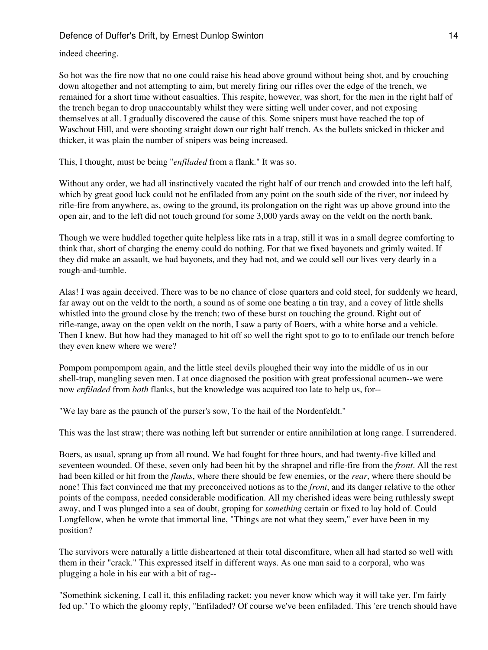indeed cheering.

So hot was the fire now that no one could raise his head above ground without being shot, and by crouching down altogether and not attempting to aim, but merely firing our rifles over the edge of the trench, we remained for a short time without casualties. This respite, however, was short, for the men in the right half of the trench began to drop unaccountably whilst they were sitting well under cover, and not exposing themselves at all. I gradually discovered the cause of this. Some snipers must have reached the top of Waschout Hill, and were shooting straight down our right half trench. As the bullets snicked in thicker and thicker, it was plain the number of snipers was being increased.

This, I thought, must be being "*enfiladed* from a flank." It was so.

Without any order, we had all instinctively vacated the right half of our trench and crowded into the left half, which by great good luck could not be enfiladed from any point on the south side of the river, nor indeed by rifle-fire from anywhere, as, owing to the ground, its prolongation on the right was up above ground into the open air, and to the left did not touch ground for some 3,000 yards away on the veldt on the north bank.

Though we were huddled together quite helpless like rats in a trap, still it was in a small degree comforting to think that, short of charging the enemy could do nothing. For that we fixed bayonets and grimly waited. If they did make an assault, we had bayonets, and they had not, and we could sell our lives very dearly in a rough-and-tumble.

Alas! I was again deceived. There was to be no chance of close quarters and cold steel, for suddenly we heard, far away out on the veldt to the north, a sound as of some one beating a tin tray, and a covey of little shells whistled into the ground close by the trench; two of these burst on touching the ground. Right out of rifle-range, away on the open veldt on the north, I saw a party of Boers, with a white horse and a vehicle. Then I knew. But how had they managed to hit off so well the right spot to go to to enfilade our trench before they even knew where we were?

Pompom pompompom again, and the little steel devils ploughed their way into the middle of us in our shell-trap, mangling seven men. I at once diagnosed the position with great professional acumen--we were now *enfiladed* from *both* flanks, but the knowledge was acquired too late to help us, for--

"We lay bare as the paunch of the purser's sow, To the hail of the Nordenfeldt."

This was the last straw; there was nothing left but surrender or entire annihilation at long range. I surrendered.

Boers, as usual, sprang up from all round. We had fought for three hours, and had twenty-five killed and seventeen wounded. Of these, seven only had been hit by the shrapnel and rifle-fire from the *front*. All the rest had been killed or hit from the *flanks*, where there should be few enemies, or the *rear*, where there should be none! This fact convinced me that my preconceived notions as to the *front*, and its danger relative to the other points of the compass, needed considerable modification. All my cherished ideas were being ruthlessly swept away, and I was plunged into a sea of doubt, groping for *something* certain or fixed to lay hold of. Could Longfellow, when he wrote that immortal line, "Things are not what they seem," ever have been in my position?

The survivors were naturally a little disheartened at their total discomfiture, when all had started so well with them in their "crack." This expressed itself in different ways. As one man said to a corporal, who was plugging a hole in his ear with a bit of rag--

"Somethink sickening, I call it, this enfilading racket; you never know which way it will take yer. I'm fairly fed up." To which the gloomy reply, "Enfiladed? Of course we've been enfiladed. This 'ere trench should have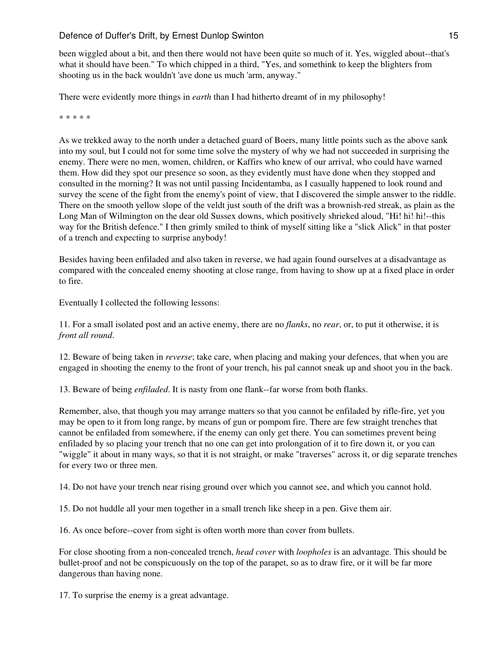been wiggled about a bit, and then there would not have been quite so much of it. Yes, wiggled about--that's what it should have been." To which chipped in a third, "Yes, and somethink to keep the blighters from shooting us in the back wouldn't 'ave done us much 'arm, anyway."

There were evidently more things in *earth* than I had hitherto dreamt of in my philosophy!

\* \* \* \* \*

As we trekked away to the north under a detached guard of Boers, many little points such as the above sank into my soul, but I could not for some time solve the mystery of why we had not succeeded in surprising the enemy. There were no men, women, children, or Kaffirs who knew of our arrival, who could have warned them. How did they spot our presence so soon, as they evidently must have done when they stopped and consulted in the morning? It was not until passing Incidentamba, as I casually happened to look round and survey the scene of the fight from the enemy's point of view, that I discovered the simple answer to the riddle. There on the smooth yellow slope of the veldt just south of the drift was a brownish-red streak, as plain as the Long Man of Wilmington on the dear old Sussex downs, which positively shrieked aloud, "Hi! hi! hi!--this way for the British defence." I then grimly smiled to think of myself sitting like a "slick Alick" in that poster of a trench and expecting to surprise anybody!

Besides having been enfiladed and also taken in reverse, we had again found ourselves at a disadvantage as compared with the concealed enemy shooting at close range, from having to show up at a fixed place in order to fire.

Eventually I collected the following lessons:

11. For a small isolated post and an active enemy, there are no *flanks*, no *rear*, or, to put it otherwise, it is *front all round*.

12. Beware of being taken in *reverse*; take care, when placing and making your defences, that when you are engaged in shooting the enemy to the front of your trench, his pal cannot sneak up and shoot you in the back.

13. Beware of being *enfiladed*. It is nasty from one flank--far worse from both flanks.

Remember, also, that though you may arrange matters so that you cannot be enfiladed by rifle-fire, yet you may be open to it from long range, by means of gun or pompom fire. There are few straight trenches that cannot be enfiladed from somewhere, if the enemy can only get there. You can sometimes prevent being enfiladed by so placing your trench that no one can get into prolongation of it to fire down it, or you can "wiggle" it about in many ways, so that it is not straight, or make "traverses" across it, or dig separate trenches for every two or three men.

14. Do not have your trench near rising ground over which you cannot see, and which you cannot hold.

15. Do not huddle all your men together in a small trench like sheep in a pen. Give them air.

16. As once before--cover from sight is often worth more than cover from bullets.

For close shooting from a non-concealed trench, *head cover* with *loopholes* is an advantage. This should be bullet-proof and not be conspicuously on the top of the parapet, so as to draw fire, or it will be far more dangerous than having none.

17. To surprise the enemy is a great advantage.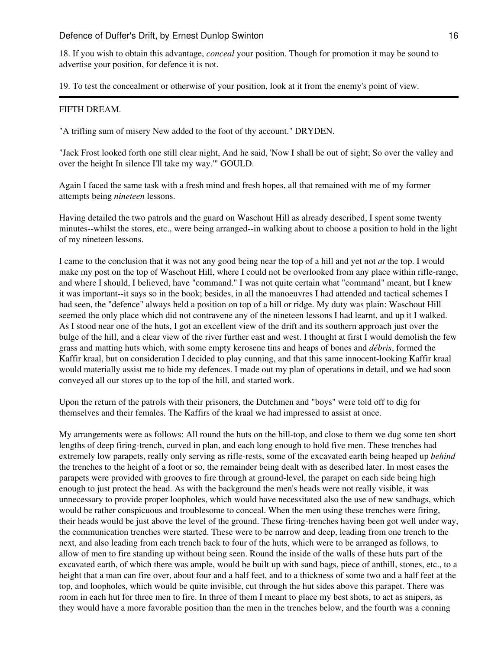18. If you wish to obtain this advantage, *conceal* your position. Though for promotion it may be sound to advertise your position, for defence it is not.

19. To test the concealment or otherwise of your position, look at it from the enemy's point of view.

#### FIFTH DREAM.

"A trifling sum of misery New added to the foot of thy account." DRYDEN.

"Jack Frost looked forth one still clear night, And he said, 'Now I shall be out of sight; So over the valley and over the height In silence I'll take my way.'" GOULD.

Again I faced the same task with a fresh mind and fresh hopes, all that remained with me of my former attempts being *nineteen* lessons.

Having detailed the two patrols and the guard on Waschout Hill as already described, I spent some twenty minutes--whilst the stores, etc., were being arranged--in walking about to choose a position to hold in the light of my nineteen lessons.

I came to the conclusion that it was not any good being near the top of a hill and yet not *at* the top. I would make my post on the top of Waschout Hill, where I could not be overlooked from any place within rifle-range, and where I should, I believed, have "command." I was not quite certain what "command" meant, but I knew it was important--it says so in the book; besides, in all the manoeuvres I had attended and tactical schemes I had seen, the "defence" always held a position on top of a hill or ridge. My duty was plain: Waschout Hill seemed the only place which did not contravene any of the nineteen lessons I had learnt, and up it I walked. As I stood near one of the huts, I got an excellent view of the drift and its southern approach just over the bulge of the hill, and a clear view of the river further east and west. I thought at first I would demolish the few grass and matting huts which, with some empty kerosene tins and heaps of bones and *débris*, formed the Kaffir kraal, but on consideration I decided to play cunning, and that this same innocent-looking Kaffir kraal would materially assist me to hide my defences. I made out my plan of operations in detail, and we had soon conveyed all our stores up to the top of the hill, and started work.

Upon the return of the patrols with their prisoners, the Dutchmen and "boys" were told off to dig for themselves and their females. The Kaffirs of the kraal we had impressed to assist at once.

My arrangements were as follows: All round the huts on the hill-top, and close to them we dug some ten short lengths of deep firing-trench, curved in plan, and each long enough to hold five men. These trenches had extremely low parapets, really only serving as rifle-rests, some of the excavated earth being heaped up *behind* the trenches to the height of a foot or so, the remainder being dealt with as described later. In most cases the parapets were provided with grooves to fire through at ground-level, the parapet on each side being high enough to just protect the head. As with the background the men's heads were not really visible, it was unnecessary to provide proper loopholes, which would have necessitated also the use of new sandbags, which would be rather conspicuous and troublesome to conceal. When the men using these trenches were firing, their heads would be just above the level of the ground. These firing-trenches having been got well under way, the communication trenches were started. These were to be narrow and deep, leading from one trench to the next, and also leading from each trench back to four of the huts, which were to be arranged as follows, to allow of men to fire standing up without being seen. Round the inside of the walls of these huts part of the excavated earth, of which there was ample, would be built up with sand bags, piece of anthill, stones, etc., to a height that a man can fire over, about four and a half feet, and to a thickness of some two and a half feet at the top, and loopholes, which would be quite invisible, cut through the hut sides above this parapet. There was room in each hut for three men to fire. In three of them I meant to place my best shots, to act as snipers, as they would have a more favorable position than the men in the trenches below, and the fourth was a conning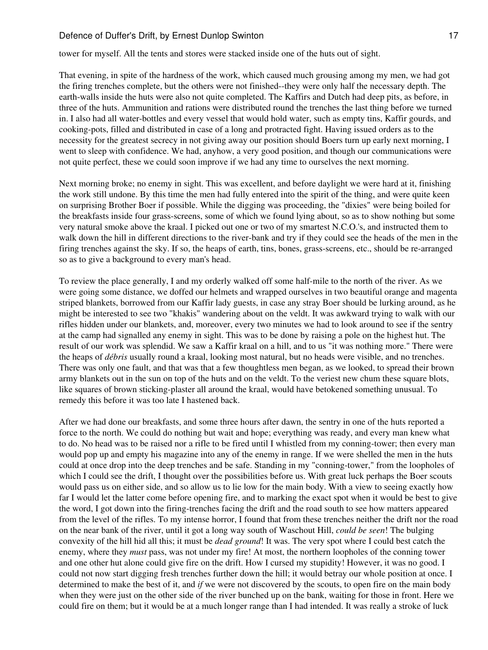tower for myself. All the tents and stores were stacked inside one of the huts out of sight.

That evening, in spite of the hardness of the work, which caused much grousing among my men, we had got the firing trenches complete, but the others were not finished--they were only half the necessary depth. The earth-walls inside the huts were also not quite completed. The Kaffirs and Dutch had deep pits, as before, in three of the huts. Ammunition and rations were distributed round the trenches the last thing before we turned in. I also had all water-bottles and every vessel that would hold water, such as empty tins, Kaffir gourds, and cooking-pots, filled and distributed in case of a long and protracted fight. Having issued orders as to the necessity for the greatest secrecy in not giving away our position should Boers turn up early next morning, I went to sleep with confidence. We had, anyhow, a very good position, and though our communications were not quite perfect, these we could soon improve if we had any time to ourselves the next morning.

Next morning broke; no enemy in sight. This was excellent, and before daylight we were hard at it, finishing the work still undone. By this time the men had fully entered into the spirit of the thing, and were quite keen on surprising Brother Boer if possible. While the digging was proceeding, the "dixies" were being boiled for the breakfasts inside four grass-screens, some of which we found lying about, so as to show nothing but some very natural smoke above the kraal. I picked out one or two of my smartest N.C.O.'s, and instructed them to walk down the hill in different directions to the river-bank and try if they could see the heads of the men in the firing trenches against the sky. If so, the heaps of earth, tins, bones, grass-screens, etc., should be re-arranged so as to give a background to every man's head.

To review the place generally, I and my orderly walked off some half-mile to the north of the river. As we were going some distance, we doffed our helmets and wrapped ourselves in two beautiful orange and magenta striped blankets, borrowed from our Kaffir lady guests, in case any stray Boer should be lurking around, as he might be interested to see two "khakis" wandering about on the veldt. It was awkward trying to walk with our rifles hidden under our blankets, and, moreover, every two minutes we had to look around to see if the sentry at the camp had signalled any enemy in sight. This was to be done by raising a pole on the highest hut. The result of our work was splendid. We saw a Kaffir kraal on a hill, and to us "it was nothing more." There were the heaps of *débris* usually round a kraal, looking most natural, but no heads were visible, and no trenches. There was only one fault, and that was that a few thoughtless men began, as we looked, to spread their brown army blankets out in the sun on top of the huts and on the veldt. To the veriest new chum these square blots, like squares of brown sticking-plaster all around the kraal, would have betokened something unusual. To remedy this before it was too late I hastened back.

After we had done our breakfasts, and some three hours after dawn, the sentry in one of the huts reported a force to the north. We could do nothing but wait and hope; everything was ready, and every man knew what to do. No head was to be raised nor a rifle to be fired until I whistled from my conning-tower; then every man would pop up and empty his magazine into any of the enemy in range. If we were shelled the men in the huts could at once drop into the deep trenches and be safe. Standing in my "conning-tower," from the loopholes of which I could see the drift, I thought over the possibilities before us. With great luck perhaps the Boer scouts would pass us on either side, and so allow us to lie low for the main body. With a view to seeing exactly how far I would let the latter come before opening fire, and to marking the exact spot when it would be best to give the word, I got down into the firing-trenches facing the drift and the road south to see how matters appeared from the level of the rifles. To my intense horror, I found that from these trenches neither the drift nor the road on the near bank of the river, until it got a long way south of Waschout Hill, *could be seen*! The bulging convexity of the hill hid all this; it must be *dead ground*! It was. The very spot where I could best catch the enemy, where they *must* pass, was not under my fire! At most, the northern loopholes of the conning tower and one other hut alone could give fire on the drift. How I cursed my stupidity! However, it was no good. I could not now start digging fresh trenches further down the hill; it would betray our whole position at once. I determined to make the best of it, and *if* we were not discovered by the scouts, to open fire on the main body when they were just on the other side of the river bunched up on the bank, waiting for those in front. Here we could fire on them; but it would be at a much longer range than I had intended. It was really a stroke of luck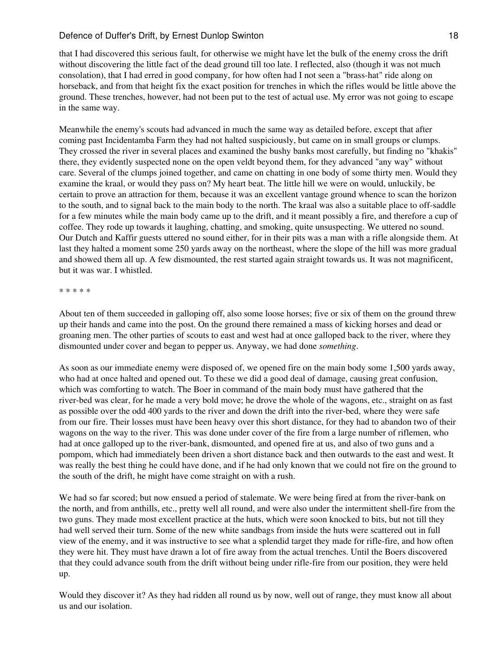that I had discovered this serious fault, for otherwise we might have let the bulk of the enemy cross the drift without discovering the little fact of the dead ground till too late. I reflected, also (though it was not much consolation), that I had erred in good company, for how often had I not seen a "brass-hat" ride along on horseback, and from that height fix the exact position for trenches in which the rifles would be little above the ground. These trenches, however, had not been put to the test of actual use. My error was not going to escape in the same way.

Meanwhile the enemy's scouts had advanced in much the same way as detailed before, except that after coming past Incidentamba Farm they had not halted suspiciously, but came on in small groups or clumps. They crossed the river in several places and examined the bushy banks most carefully, but finding no "khakis" there, they evidently suspected none on the open veldt beyond them, for they advanced "any way" without care. Several of the clumps joined together, and came on chatting in one body of some thirty men. Would they examine the kraal, or would they pass on? My heart beat. The little hill we were on would, unluckily, be certain to prove an attraction for them, because it was an excellent vantage ground whence to scan the horizon to the south, and to signal back to the main body to the north. The kraal was also a suitable place to off-saddle for a few minutes while the main body came up to the drift, and it meant possibly a fire, and therefore a cup of coffee. They rode up towards it laughing, chatting, and smoking, quite unsuspecting. We uttered no sound. Our Dutch and Kaffir guests uttered no sound either, for in their pits was a man with a rifle alongside them. At last they halted a moment some 250 yards away on the northeast, where the slope of the hill was more gradual and showed them all up. A few dismounted, the rest started again straight towards us. It was not magnificent, but it was war. I whistled.

#### \* \* \* \* \*

About ten of them succeeded in galloping off, also some loose horses; five or six of them on the ground threw up their hands and came into the post. On the ground there remained a mass of kicking horses and dead or groaning men. The other parties of scouts to east and west had at once galloped back to the river, where they dismounted under cover and began to pepper us. Anyway, we had done *something*.

As soon as our immediate enemy were disposed of, we opened fire on the main body some 1,500 yards away, who had at once halted and opened out. To these we did a good deal of damage, causing great confusion, which was comforting to watch. The Boer in command of the main body must have gathered that the river-bed was clear, for he made a very bold move; he drove the whole of the wagons, etc., straight on as fast as possible over the odd 400 yards to the river and down the drift into the river-bed, where they were safe from our fire. Their losses must have been heavy over this short distance, for they had to abandon two of their wagons on the way to the river. This was done under cover of the fire from a large number of riflemen, who had at once galloped up to the river-bank, dismounted, and opened fire at us, and also of two guns and a pompom, which had immediately been driven a short distance back and then outwards to the east and west. It was really the best thing he could have done, and if he had only known that we could not fire on the ground to the south of the drift, he might have come straight on with a rush.

We had so far scored; but now ensued a period of stalemate. We were being fired at from the river-bank on the north, and from anthills, etc., pretty well all round, and were also under the intermittent shell-fire from the two guns. They made most excellent practice at the huts, which were soon knocked to bits, but not till they had well served their turn. Some of the new white sandbags from inside the huts were scattered out in full view of the enemy, and it was instructive to see what a splendid target they made for rifle-fire, and how often they were hit. They must have drawn a lot of fire away from the actual trenches. Until the Boers discovered that they could advance south from the drift without being under rifle-fire from our position, they were held up.

Would they discover it? As they had ridden all round us by now, well out of range, they must know all about us and our isolation.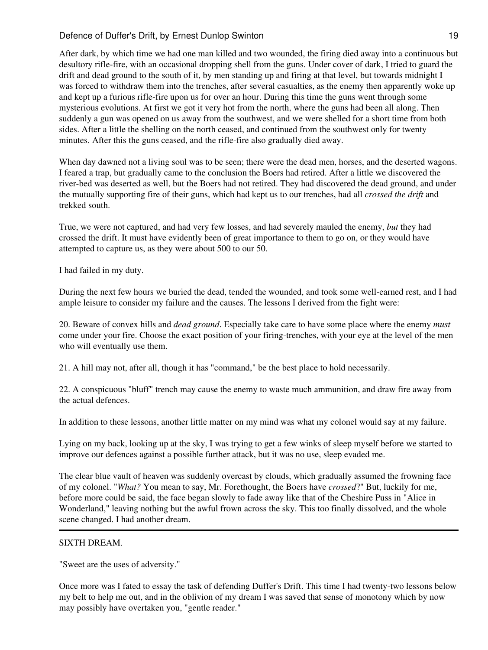After dark, by which time we had one man killed and two wounded, the firing died away into a continuous but desultory rifle-fire, with an occasional dropping shell from the guns. Under cover of dark, I tried to guard the drift and dead ground to the south of it, by men standing up and firing at that level, but towards midnight I was forced to withdraw them into the trenches, after several casualties, as the enemy then apparently woke up and kept up a furious rifle-fire upon us for over an hour. During this time the guns went through some mysterious evolutions. At first we got it very hot from the north, where the guns had been all along. Then suddenly a gun was opened on us away from the southwest, and we were shelled for a short time from both sides. After a little the shelling on the north ceased, and continued from the southwest only for twenty minutes. After this the guns ceased, and the rifle-fire also gradually died away.

When day dawned not a living soul was to be seen; there were the dead men, horses, and the deserted wagons. I feared a trap, but gradually came to the conclusion the Boers had retired. After a little we discovered the river-bed was deserted as well, but the Boers had not retired. They had discovered the dead ground, and under the mutually supporting fire of their guns, which had kept us to our trenches, had all *crossed the drift* and trekked south.

True, we were not captured, and had very few losses, and had severely mauled the enemy, *but* they had crossed the drift. It must have evidently been of great importance to them to go on, or they would have attempted to capture us, as they were about 500 to our 50.

I had failed in my duty.

During the next few hours we buried the dead, tended the wounded, and took some well-earned rest, and I had ample leisure to consider my failure and the causes. The lessons I derived from the fight were:

20. Beware of convex hills and *dead ground*. Especially take care to have some place where the enemy *must* come under your fire. Choose the exact position of your firing-trenches, with your eye at the level of the men who will eventually use them.

21. A hill may not, after all, though it has "command," be the best place to hold necessarily.

22. A conspicuous "bluff" trench may cause the enemy to waste much ammunition, and draw fire away from the actual defences.

In addition to these lessons, another little matter on my mind was what my colonel would say at my failure.

Lying on my back, looking up at the sky, I was trying to get a few winks of sleep myself before we started to improve our defences against a possible further attack, but it was no use, sleep evaded me.

The clear blue vault of heaven was suddenly overcast by clouds, which gradually assumed the frowning face of my colonel. "*What?* You mean to say, Mr. Forethought, the Boers have *crossed*?" But, luckily for me, before more could be said, the face began slowly to fade away like that of the Cheshire Puss in "Alice in Wonderland," leaving nothing but the awful frown across the sky. This too finally dissolved, and the whole scene changed. I had another dream.

# SIXTH DREAM.

"Sweet are the uses of adversity."

Once more was I fated to essay the task of defending Duffer's Drift. This time I had twenty-two lessons below my belt to help me out, and in the oblivion of my dream I was saved that sense of monotony which by now may possibly have overtaken you, "gentle reader."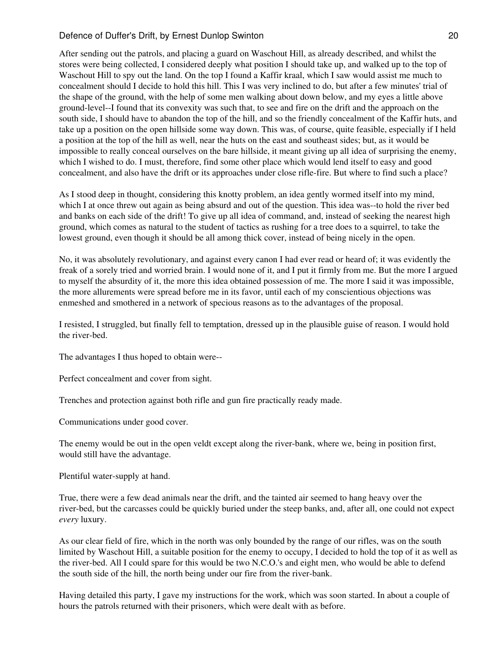After sending out the patrols, and placing a guard on Waschout Hill, as already described, and whilst the stores were being collected, I considered deeply what position I should take up, and walked up to the top of Waschout Hill to spy out the land. On the top I found a Kaffir kraal, which I saw would assist me much to concealment should I decide to hold this hill. This I was very inclined to do, but after a few minutes' trial of the shape of the ground, with the help of some men walking about down below, and my eyes a little above ground-level--I found that its convexity was such that, to see and fire on the drift and the approach on the south side, I should have to abandon the top of the hill, and so the friendly concealment of the Kaffir huts, and take up a position on the open hillside some way down. This was, of course, quite feasible, especially if I held a position at the top of the hill as well, near the huts on the east and southeast sides; but, as it would be impossible to really conceal ourselves on the bare hillside, it meant giving up all idea of surprising the enemy, which I wished to do. I must, therefore, find some other place which would lend itself to easy and good concealment, and also have the drift or its approaches under close rifle-fire. But where to find such a place?

As I stood deep in thought, considering this knotty problem, an idea gently wormed itself into my mind, which I at once threw out again as being absurd and out of the question. This idea was--to hold the river bed and banks on each side of the drift! To give up all idea of command, and, instead of seeking the nearest high ground, which comes as natural to the student of tactics as rushing for a tree does to a squirrel, to take the lowest ground, even though it should be all among thick cover, instead of being nicely in the open.

No, it was absolutely revolutionary, and against every canon I had ever read or heard of; it was evidently the freak of a sorely tried and worried brain. I would none of it, and I put it firmly from me. But the more I argued to myself the absurdity of it, the more this idea obtained possession of me. The more I said it was impossible, the more allurements were spread before me in its favor, until each of my conscientious objections was enmeshed and smothered in a network of specious reasons as to the advantages of the proposal.

I resisted, I struggled, but finally fell to temptation, dressed up in the plausible guise of reason. I would hold the river-bed.

The advantages I thus hoped to obtain were--

Perfect concealment and cover from sight.

Trenches and protection against both rifle and gun fire practically ready made.

Communications under good cover.

The enemy would be out in the open veldt except along the river-bank, where we, being in position first, would still have the advantage.

Plentiful water-supply at hand.

True, there were a few dead animals near the drift, and the tainted air seemed to hang heavy over the river-bed, but the carcasses could be quickly buried under the steep banks, and, after all, one could not expect *every* luxury.

As our clear field of fire, which in the north was only bounded by the range of our rifles, was on the south limited by Waschout Hill, a suitable position for the enemy to occupy, I decided to hold the top of it as well as the river-bed. All I could spare for this would be two N.C.O.'s and eight men, who would be able to defend the south side of the hill, the north being under our fire from the river-bank.

Having detailed this party, I gave my instructions for the work, which was soon started. In about a couple of hours the patrols returned with their prisoners, which were dealt with as before.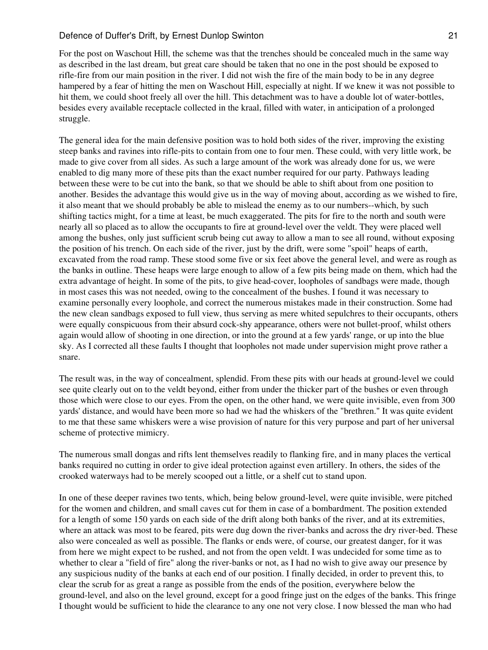For the post on Waschout Hill, the scheme was that the trenches should be concealed much in the same way as described in the last dream, but great care should be taken that no one in the post should be exposed to rifle-fire from our main position in the river. I did not wish the fire of the main body to be in any degree hampered by a fear of hitting the men on Waschout Hill, especially at night. If we knew it was not possible to hit them, we could shoot freely all over the hill. This detachment was to have a double lot of water-bottles, besides every available receptacle collected in the kraal, filled with water, in anticipation of a prolonged struggle.

The general idea for the main defensive position was to hold both sides of the river, improving the existing steep banks and ravines into rifle-pits to contain from one to four men. These could, with very little work, be made to give cover from all sides. As such a large amount of the work was already done for us, we were enabled to dig many more of these pits than the exact number required for our party. Pathways leading between these were to be cut into the bank, so that we should be able to shift about from one position to another. Besides the advantage this would give us in the way of moving about, according as we wished to fire, it also meant that we should probably be able to mislead the enemy as to our numbers--which, by such shifting tactics might, for a time at least, be much exaggerated. The pits for fire to the north and south were nearly all so placed as to allow the occupants to fire at ground-level over the veldt. They were placed well among the bushes, only just sufficient scrub being cut away to allow a man to see all round, without exposing the position of his trench. On each side of the river, just by the drift, were some "spoil" heaps of earth, excavated from the road ramp. These stood some five or six feet above the general level, and were as rough as the banks in outline. These heaps were large enough to allow of a few pits being made on them, which had the extra advantage of height. In some of the pits, to give head-cover, loopholes of sandbags were made, though in most cases this was not needed, owing to the concealment of the bushes. I found it was necessary to examine personally every loophole, and correct the numerous mistakes made in their construction. Some had the new clean sandbags exposed to full view, thus serving as mere whited sepulchres to their occupants, others were equally conspicuous from their absurd cock-shy appearance, others were not bullet-proof, whilst others again would allow of shooting in one direction, or into the ground at a few yards' range, or up into the blue sky. As I corrected all these faults I thought that loopholes not made under supervision might prove rather a snare.

The result was, in the way of concealment, splendid. From these pits with our heads at ground-level we could see quite clearly out on to the veldt beyond, either from under the thicker part of the bushes or even through those which were close to our eyes. From the open, on the other hand, we were quite invisible, even from 300 yards' distance, and would have been more so had we had the whiskers of the "brethren." It was quite evident to me that these same whiskers were a wise provision of nature for this very purpose and part of her universal scheme of protective mimicry.

The numerous small dongas and rifts lent themselves readily to flanking fire, and in many places the vertical banks required no cutting in order to give ideal protection against even artillery. In others, the sides of the crooked waterways had to be merely scooped out a little, or a shelf cut to stand upon.

In one of these deeper ravines two tents, which, being below ground-level, were quite invisible, were pitched for the women and children, and small caves cut for them in case of a bombardment. The position extended for a length of some 150 yards on each side of the drift along both banks of the river, and at its extremities, where an attack was most to be feared, pits were dug down the river-banks and across the dry river-bed. These also were concealed as well as possible. The flanks or ends were, of course, our greatest danger, for it was from here we might expect to be rushed, and not from the open veldt. I was undecided for some time as to whether to clear a "field of fire" along the river-banks or not, as I had no wish to give away our presence by any suspicious nudity of the banks at each end of our position. I finally decided, in order to prevent this, to clear the scrub for as great a range as possible from the ends of the position, everywhere below the ground-level, and also on the level ground, except for a good fringe just on the edges of the banks. This fringe I thought would be sufficient to hide the clearance to any one not very close. I now blessed the man who had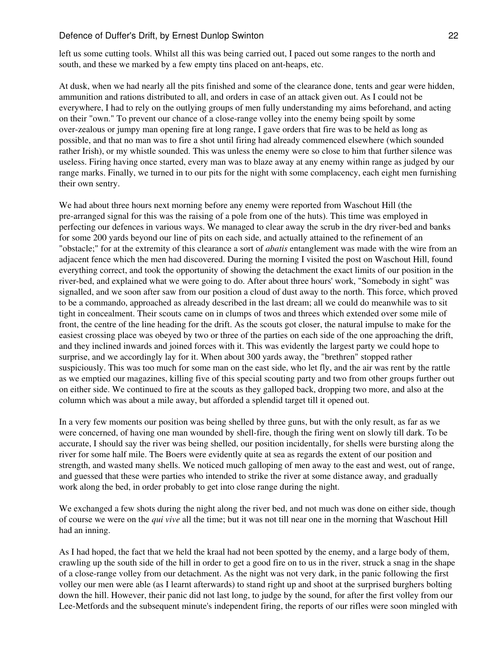left us some cutting tools. Whilst all this was being carried out, I paced out some ranges to the north and south, and these we marked by a few empty tins placed on ant-heaps, etc.

At dusk, when we had nearly all the pits finished and some of the clearance done, tents and gear were hidden, ammunition and rations distributed to all, and orders in case of an attack given out. As I could not be everywhere, I had to rely on the outlying groups of men fully understanding my aims beforehand, and acting on their "own." To prevent our chance of a close-range volley into the enemy being spoilt by some over-zealous or jumpy man opening fire at long range, I gave orders that fire was to be held as long as possible, and that no man was to fire a shot until firing had already commenced elsewhere (which sounded rather Irish), or my whistle sounded. This was unless the enemy were so close to him that further silence was useless. Firing having once started, every man was to blaze away at any enemy within range as judged by our range marks. Finally, we turned in to our pits for the night with some complacency, each eight men furnishing their own sentry.

We had about three hours next morning before any enemy were reported from Waschout Hill (the pre-arranged signal for this was the raising of a pole from one of the huts). This time was employed in perfecting our defences in various ways. We managed to clear away the scrub in the dry river-bed and banks for some 200 yards beyond our line of pits on each side, and actually attained to the refinement of an "obstacle;" for at the extremity of this clearance a sort of *abatis* entanglement was made with the wire from an adjacent fence which the men had discovered. During the morning I visited the post on Waschout Hill, found everything correct, and took the opportunity of showing the detachment the exact limits of our position in the river-bed, and explained what we were going to do. After about three hours' work, "Somebody in sight" was signalled, and we soon after saw from our position a cloud of dust away to the north. This force, which proved to be a commando, approached as already described in the last dream; all we could do meanwhile was to sit tight in concealment. Their scouts came on in clumps of twos and threes which extended over some mile of front, the centre of the line heading for the drift. As the scouts got closer, the natural impulse to make for the easiest crossing place was obeyed by two or three of the parties on each side of the one approaching the drift, and they inclined inwards and joined forces with it. This was evidently the largest party we could hope to surprise, and we accordingly lay for it. When about 300 yards away, the "brethren" stopped rather suspiciously. This was too much for some man on the east side, who let fly, and the air was rent by the rattle as we emptied our magazines, killing five of this special scouting party and two from other groups further out on either side. We continued to fire at the scouts as they galloped back, dropping two more, and also at the column which was about a mile away, but afforded a splendid target till it opened out.

In a very few moments our position was being shelled by three guns, but with the only result, as far as we were concerned, of having one man wounded by shell-fire, though the firing went on slowly till dark. To be accurate, I should say the river was being shelled, our position incidentally, for shells were bursting along the river for some half mile. The Boers were evidently quite at sea as regards the extent of our position and strength, and wasted many shells. We noticed much galloping of men away to the east and west, out of range, and guessed that these were parties who intended to strike the river at some distance away, and gradually work along the bed, in order probably to get into close range during the night.

We exchanged a few shots during the night along the river bed, and not much was done on either side, though of course we were on the *qui vive* all the time; but it was not till near one in the morning that Waschout Hill had an inning.

As I had hoped, the fact that we held the kraal had not been spotted by the enemy, and a large body of them, crawling up the south side of the hill in order to get a good fire on to us in the river, struck a snag in the shape of a close-range volley from our detachment. As the night was not very dark, in the panic following the first volley our men were able (as I learnt afterwards) to stand right up and shoot at the surprised burghers bolting down the hill. However, their panic did not last long, to judge by the sound, for after the first volley from our Lee-Metfords and the subsequent minute's independent firing, the reports of our rifles were soon mingled with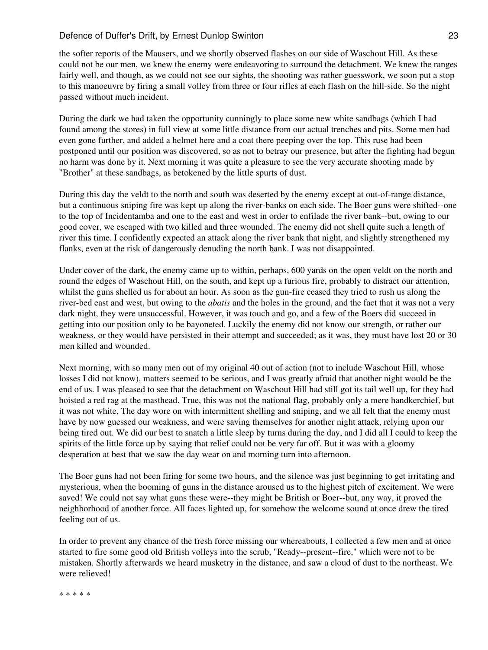the softer reports of the Mausers, and we shortly observed flashes on our side of Waschout Hill. As these could not be our men, we knew the enemy were endeavoring to surround the detachment. We knew the ranges fairly well, and though, as we could not see our sights, the shooting was rather guesswork, we soon put a stop to this manoeuvre by firing a small volley from three or four rifles at each flash on the hill-side. So the night passed without much incident.

During the dark we had taken the opportunity cunningly to place some new white sandbags (which I had found among the stores) in full view at some little distance from our actual trenches and pits. Some men had even gone further, and added a helmet here and a coat there peeping over the top. This ruse had been postponed until our position was discovered, so as not to betray our presence, but after the fighting had begun no harm was done by it. Next morning it was quite a pleasure to see the very accurate shooting made by "Brother" at these sandbags, as betokened by the little spurts of dust.

During this day the veldt to the north and south was deserted by the enemy except at out-of-range distance, but a continuous sniping fire was kept up along the river-banks on each side. The Boer guns were shifted--one to the top of Incidentamba and one to the east and west in order to enfilade the river bank--but, owing to our good cover, we escaped with two killed and three wounded. The enemy did not shell quite such a length of river this time. I confidently expected an attack along the river bank that night, and slightly strengthened my flanks, even at the risk of dangerously denuding the north bank. I was not disappointed.

Under cover of the dark, the enemy came up to within, perhaps, 600 yards on the open veldt on the north and round the edges of Waschout Hill, on the south, and kept up a furious fire, probably to distract our attention, whilst the guns shelled us for about an hour. As soon as the gun-fire ceased they tried to rush us along the river-bed east and west, but owing to the *abatis* and the holes in the ground, and the fact that it was not a very dark night, they were unsuccessful. However, it was touch and go, and a few of the Boers did succeed in getting into our position only to be bayoneted. Luckily the enemy did not know our strength, or rather our weakness, or they would have persisted in their attempt and succeeded; as it was, they must have lost 20 or 30 men killed and wounded.

Next morning, with so many men out of my original 40 out of action (not to include Waschout Hill, whose losses I did not know), matters seemed to be serious, and I was greatly afraid that another night would be the end of us. I was pleased to see that the detachment on Waschout Hill had still got its tail well up, for they had hoisted a red rag at the masthead. True, this was not the national flag, probably only a mere handkerchief, but it was not white. The day wore on with intermittent shelling and sniping, and we all felt that the enemy must have by now guessed our weakness, and were saving themselves for another night attack, relying upon our being tired out. We did our best to snatch a little sleep by turns during the day, and I did all I could to keep the spirits of the little force up by saying that relief could not be very far off. But it was with a gloomy desperation at best that we saw the day wear on and morning turn into afternoon.

The Boer guns had not been firing for some two hours, and the silence was just beginning to get irritating and mysterious, when the booming of guns in the distance aroused us to the highest pitch of excitement. We were saved! We could not say what guns these were--they might be British or Boer--but, any way, it proved the neighborhood of another force. All faces lighted up, for somehow the welcome sound at once drew the tired feeling out of us.

In order to prevent any chance of the fresh force missing our whereabouts, I collected a few men and at once started to fire some good old British volleys into the scrub, "Ready--present--fire," which were not to be mistaken. Shortly afterwards we heard musketry in the distance, and saw a cloud of dust to the northeast. We were relieved!

\* \* \* \* \*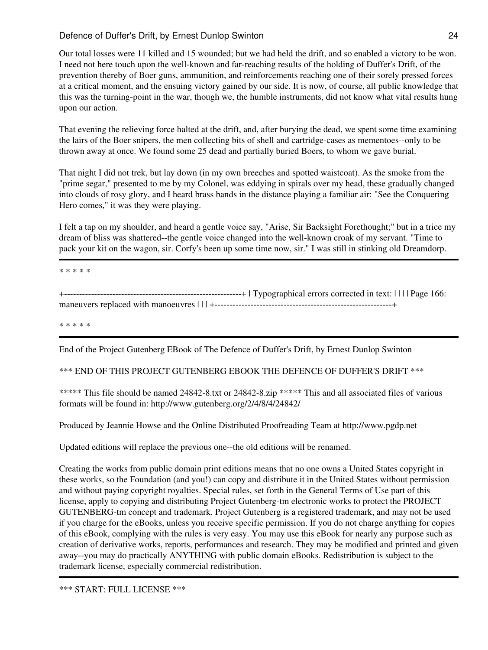Our total losses were 11 killed and 15 wounded; but we had held the drift, and so enabled a victory to be won. I need not here touch upon the well-known and far-reaching results of the holding of Duffer's Drift, of the prevention thereby of Boer guns, ammunition, and reinforcements reaching one of their sorely pressed forces at a critical moment, and the ensuing victory gained by our side. It is now, of course, all public knowledge that this was the turning-point in the war, though we, the humble instruments, did not know what vital results hung upon our action.

That evening the relieving force halted at the drift, and, after burying the dead, we spent some time examining the lairs of the Boer snipers, the men collecting bits of shell and cartridge-cases as mementoes--only to be thrown away at once. We found some 25 dead and partially buried Boers, to whom we gave burial.

That night I did not trek, but lay down (in my own breeches and spotted waistcoat). As the smoke from the "prime segar," presented to me by my Colonel, was eddying in spirals over my head, these gradually changed into clouds of rosy glory, and I heard brass bands in the distance playing a familiar air: "See the Conquering Hero comes," it was they were playing.

I felt a tap on my shoulder, and heard a gentle voice say, "Arise, Sir Backsight Forethought;" but in a trice my dream of bliss was shattered--the gentle voice changed into the well-known croak of my servant. "Time to pack your kit on the wagon, sir. Corfy's been up some time now, sir." I was still in stinking old Dreamdorp.

\* \* \* \* \*

+-----------------------------------------------------------+ | Typographical errors corrected in text: | | | | Page 166: maneuvers replaced with manoeuvres | | | +-----------------------------------------------------------+

\* \* \* \* \*

End of the Project Gutenberg EBook of The Defence of Duffer's Drift, by Ernest Dunlop Swinton

\*\*\* END OF THIS PROJECT GUTENBERG EBOOK THE DEFENCE OF DUFFER'S DRIFT \*\*\*

\*\*\*\*\* This file should be named 24842-8.txt or 24842-8.zip \*\*\*\*\* This and all associated files of various formats will be found in: http://www.gutenberg.org/2/4/8/4/24842/

Produced by Jeannie Howse and the Online Distributed Proofreading Team at http://www.pgdp.net

Updated editions will replace the previous one--the old editions will be renamed.

Creating the works from public domain print editions means that no one owns a United States copyright in these works, so the Foundation (and you!) can copy and distribute it in the United States without permission and without paying copyright royalties. Special rules, set forth in the General Terms of Use part of this license, apply to copying and distributing Project Gutenberg-tm electronic works to protect the PROJECT GUTENBERG-tm concept and trademark. Project Gutenberg is a registered trademark, and may not be used if you charge for the eBooks, unless you receive specific permission. If you do not charge anything for copies of this eBook, complying with the rules is very easy. You may use this eBook for nearly any purpose such as creation of derivative works, reports, performances and research. They may be modified and printed and given away--you may do practically ANYTHING with public domain eBooks. Redistribution is subject to the trademark license, especially commercial redistribution.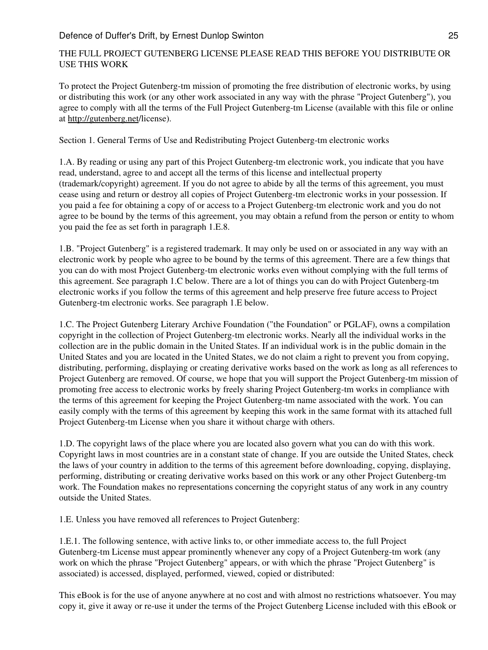# THE FULL PROJECT GUTENBERG LICENSE PLEASE READ THIS BEFORE YOU DISTRIBUTE OR USE THIS WORK

To protect the Project Gutenberg-tm mission of promoting the free distribution of electronic works, by using or distributing this work (or any other work associated in any way with the phrase "Project Gutenberg"), you agree to comply with all the terms of the Full Project Gutenberg-tm License (available with this file or online at <http://gutenberg.net>/license).

Section 1. General Terms of Use and Redistributing Project Gutenberg-tm electronic works

1.A. By reading or using any part of this Project Gutenberg-tm electronic work, you indicate that you have read, understand, agree to and accept all the terms of this license and intellectual property (trademark/copyright) agreement. If you do not agree to abide by all the terms of this agreement, you must cease using and return or destroy all copies of Project Gutenberg-tm electronic works in your possession. If you paid a fee for obtaining a copy of or access to a Project Gutenberg-tm electronic work and you do not agree to be bound by the terms of this agreement, you may obtain a refund from the person or entity to whom you paid the fee as set forth in paragraph 1.E.8.

1.B. "Project Gutenberg" is a registered trademark. It may only be used on or associated in any way with an electronic work by people who agree to be bound by the terms of this agreement. There are a few things that you can do with most Project Gutenberg-tm electronic works even without complying with the full terms of this agreement. See paragraph 1.C below. There are a lot of things you can do with Project Gutenberg-tm electronic works if you follow the terms of this agreement and help preserve free future access to Project Gutenberg-tm electronic works. See paragraph 1.E below.

1.C. The Project Gutenberg Literary Archive Foundation ("the Foundation" or PGLAF), owns a compilation copyright in the collection of Project Gutenberg-tm electronic works. Nearly all the individual works in the collection are in the public domain in the United States. If an individual work is in the public domain in the United States and you are located in the United States, we do not claim a right to prevent you from copying, distributing, performing, displaying or creating derivative works based on the work as long as all references to Project Gutenberg are removed. Of course, we hope that you will support the Project Gutenberg-tm mission of promoting free access to electronic works by freely sharing Project Gutenberg-tm works in compliance with the terms of this agreement for keeping the Project Gutenberg-tm name associated with the work. You can easily comply with the terms of this agreement by keeping this work in the same format with its attached full Project Gutenberg-tm License when you share it without charge with others.

1.D. The copyright laws of the place where you are located also govern what you can do with this work. Copyright laws in most countries are in a constant state of change. If you are outside the United States, check the laws of your country in addition to the terms of this agreement before downloading, copying, displaying, performing, distributing or creating derivative works based on this work or any other Project Gutenberg-tm work. The Foundation makes no representations concerning the copyright status of any work in any country outside the United States.

1.E. Unless you have removed all references to Project Gutenberg:

1.E.1. The following sentence, with active links to, or other immediate access to, the full Project Gutenberg-tm License must appear prominently whenever any copy of a Project Gutenberg-tm work (any work on which the phrase "Project Gutenberg" appears, or with which the phrase "Project Gutenberg" is associated) is accessed, displayed, performed, viewed, copied or distributed:

This eBook is for the use of anyone anywhere at no cost and with almost no restrictions whatsoever. You may copy it, give it away or re-use it under the terms of the Project Gutenberg License included with this eBook or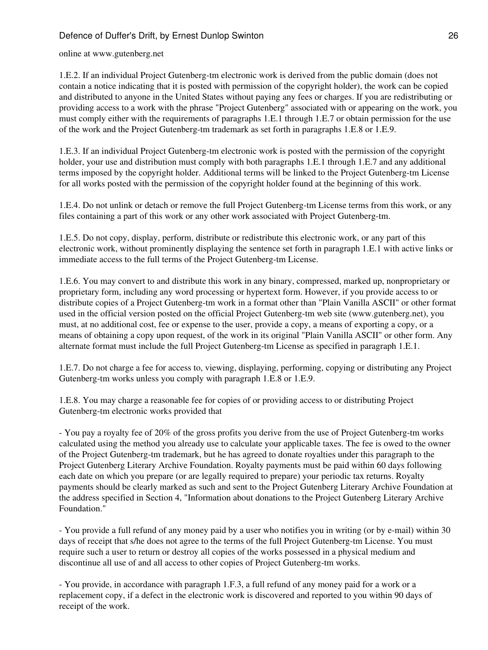online at www.gutenberg.net

1.E.2. If an individual Project Gutenberg-tm electronic work is derived from the public domain (does not contain a notice indicating that it is posted with permission of the copyright holder), the work can be copied and distributed to anyone in the United States without paying any fees or charges. If you are redistributing or providing access to a work with the phrase "Project Gutenberg" associated with or appearing on the work, you must comply either with the requirements of paragraphs 1.E.1 through 1.E.7 or obtain permission for the use of the work and the Project Gutenberg-tm trademark as set forth in paragraphs 1.E.8 or 1.E.9.

1.E.3. If an individual Project Gutenberg-tm electronic work is posted with the permission of the copyright holder, your use and distribution must comply with both paragraphs 1.E.1 through 1.E.7 and any additional terms imposed by the copyright holder. Additional terms will be linked to the Project Gutenberg-tm License for all works posted with the permission of the copyright holder found at the beginning of this work.

1.E.4. Do not unlink or detach or remove the full Project Gutenberg-tm License terms from this work, or any files containing a part of this work or any other work associated with Project Gutenberg-tm.

1.E.5. Do not copy, display, perform, distribute or redistribute this electronic work, or any part of this electronic work, without prominently displaying the sentence set forth in paragraph 1.E.1 with active links or immediate access to the full terms of the Project Gutenberg-tm License.

1.E.6. You may convert to and distribute this work in any binary, compressed, marked up, nonproprietary or proprietary form, including any word processing or hypertext form. However, if you provide access to or distribute copies of a Project Gutenberg-tm work in a format other than "Plain Vanilla ASCII" or other format used in the official version posted on the official Project Gutenberg-tm web site (www.gutenberg.net), you must, at no additional cost, fee or expense to the user, provide a copy, a means of exporting a copy, or a means of obtaining a copy upon request, of the work in its original "Plain Vanilla ASCII" or other form. Any alternate format must include the full Project Gutenberg-tm License as specified in paragraph 1.E.1.

1.E.7. Do not charge a fee for access to, viewing, displaying, performing, copying or distributing any Project Gutenberg-tm works unless you comply with paragraph 1.E.8 or 1.E.9.

1.E.8. You may charge a reasonable fee for copies of or providing access to or distributing Project Gutenberg-tm electronic works provided that

- You pay a royalty fee of 20% of the gross profits you derive from the use of Project Gutenberg-tm works calculated using the method you already use to calculate your applicable taxes. The fee is owed to the owner of the Project Gutenberg-tm trademark, but he has agreed to donate royalties under this paragraph to the Project Gutenberg Literary Archive Foundation. Royalty payments must be paid within 60 days following each date on which you prepare (or are legally required to prepare) your periodic tax returns. Royalty payments should be clearly marked as such and sent to the Project Gutenberg Literary Archive Foundation at the address specified in Section 4, "Information about donations to the Project Gutenberg Literary Archive Foundation."

- You provide a full refund of any money paid by a user who notifies you in writing (or by e-mail) within 30 days of receipt that s/he does not agree to the terms of the full Project Gutenberg-tm License. You must require such a user to return or destroy all copies of the works possessed in a physical medium and discontinue all use of and all access to other copies of Project Gutenberg-tm works.

- You provide, in accordance with paragraph 1.F.3, a full refund of any money paid for a work or a replacement copy, if a defect in the electronic work is discovered and reported to you within 90 days of receipt of the work.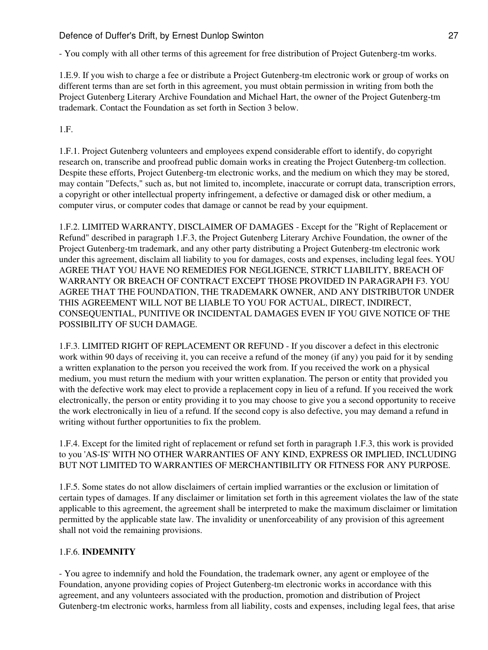- You comply with all other terms of this agreement for free distribution of Project Gutenberg-tm works.

1.E.9. If you wish to charge a fee or distribute a Project Gutenberg-tm electronic work or group of works on different terms than are set forth in this agreement, you must obtain permission in writing from both the Project Gutenberg Literary Archive Foundation and Michael Hart, the owner of the Project Gutenberg-tm trademark. Contact the Foundation as set forth in Section 3 below.

1.F.

1.F.1. Project Gutenberg volunteers and employees expend considerable effort to identify, do copyright research on, transcribe and proofread public domain works in creating the Project Gutenberg-tm collection. Despite these efforts, Project Gutenberg-tm electronic works, and the medium on which they may be stored, may contain "Defects," such as, but not limited to, incomplete, inaccurate or corrupt data, transcription errors, a copyright or other intellectual property infringement, a defective or damaged disk or other medium, a computer virus, or computer codes that damage or cannot be read by your equipment.

1.F.2. LIMITED WARRANTY, DISCLAIMER OF DAMAGES - Except for the "Right of Replacement or Refund" described in paragraph 1.F.3, the Project Gutenberg Literary Archive Foundation, the owner of the Project Gutenberg-tm trademark, and any other party distributing a Project Gutenberg-tm electronic work under this agreement, disclaim all liability to you for damages, costs and expenses, including legal fees. YOU AGREE THAT YOU HAVE NO REMEDIES FOR NEGLIGENCE, STRICT LIABILITY, BREACH OF WARRANTY OR BREACH OF CONTRACT EXCEPT THOSE PROVIDED IN PARAGRAPH F3. YOU AGREE THAT THE FOUNDATION, THE TRADEMARK OWNER, AND ANY DISTRIBUTOR UNDER THIS AGREEMENT WILL NOT BE LIABLE TO YOU FOR ACTUAL, DIRECT, INDIRECT, CONSEQUENTIAL, PUNITIVE OR INCIDENTAL DAMAGES EVEN IF YOU GIVE NOTICE OF THE POSSIBILITY OF SUCH DAMAGE.

1.F.3. LIMITED RIGHT OF REPLACEMENT OR REFUND - If you discover a defect in this electronic work within 90 days of receiving it, you can receive a refund of the money (if any) you paid for it by sending a written explanation to the person you received the work from. If you received the work on a physical medium, you must return the medium with your written explanation. The person or entity that provided you with the defective work may elect to provide a replacement copy in lieu of a refund. If you received the work electronically, the person or entity providing it to you may choose to give you a second opportunity to receive the work electronically in lieu of a refund. If the second copy is also defective, you may demand a refund in writing without further opportunities to fix the problem.

1.F.4. Except for the limited right of replacement or refund set forth in paragraph 1.F.3, this work is provided to you 'AS-IS' WITH NO OTHER WARRANTIES OF ANY KIND, EXPRESS OR IMPLIED, INCLUDING BUT NOT LIMITED TO WARRANTIES OF MERCHANTIBILITY OR FITNESS FOR ANY PURPOSE.

1.F.5. Some states do not allow disclaimers of certain implied warranties or the exclusion or limitation of certain types of damages. If any disclaimer or limitation set forth in this agreement violates the law of the state applicable to this agreement, the agreement shall be interpreted to make the maximum disclaimer or limitation permitted by the applicable state law. The invalidity or unenforceability of any provision of this agreement shall not void the remaining provisions.

# 1.F.6. **INDEMNITY**

- You agree to indemnify and hold the Foundation, the trademark owner, any agent or employee of the Foundation, anyone providing copies of Project Gutenberg-tm electronic works in accordance with this agreement, and any volunteers associated with the production, promotion and distribution of Project Gutenberg-tm electronic works, harmless from all liability, costs and expenses, including legal fees, that arise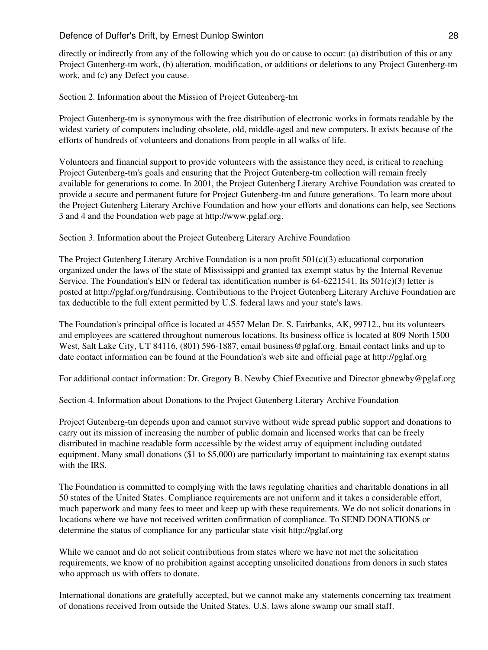directly or indirectly from any of the following which you do or cause to occur: (a) distribution of this or any Project Gutenberg-tm work, (b) alteration, modification, or additions or deletions to any Project Gutenberg-tm work, and (c) any Defect you cause.

Section 2. Information about the Mission of Project Gutenberg-tm

Project Gutenberg-tm is synonymous with the free distribution of electronic works in formats readable by the widest variety of computers including obsolete, old, middle-aged and new computers. It exists because of the efforts of hundreds of volunteers and donations from people in all walks of life.

Volunteers and financial support to provide volunteers with the assistance they need, is critical to reaching Project Gutenberg-tm's goals and ensuring that the Project Gutenberg-tm collection will remain freely available for generations to come. In 2001, the Project Gutenberg Literary Archive Foundation was created to provide a secure and permanent future for Project Gutenberg-tm and future generations. To learn more about the Project Gutenberg Literary Archive Foundation and how your efforts and donations can help, see Sections 3 and 4 and the Foundation web page at http://www.pglaf.org.

Section 3. Information about the Project Gutenberg Literary Archive Foundation

The Project Gutenberg Literary Archive Foundation is a non profit  $501(c)(3)$  educational corporation organized under the laws of the state of Mississippi and granted tax exempt status by the Internal Revenue Service. The Foundation's EIN or federal tax identification number is  $64-6221541$ . Its  $501(c)(3)$  letter is posted at http://pglaf.org/fundraising. Contributions to the Project Gutenberg Literary Archive Foundation are tax deductible to the full extent permitted by U.S. federal laws and your state's laws.

The Foundation's principal office is located at 4557 Melan Dr. S. Fairbanks, AK, 99712., but its volunteers and employees are scattered throughout numerous locations. Its business office is located at 809 North 1500 West, Salt Lake City, UT 84116, (801) 596-1887, email business@pglaf.org. Email contact links and up to date contact information can be found at the Foundation's web site and official page at http://pglaf.org

For additional contact information: Dr. Gregory B. Newby Chief Executive and Director gbnewby@pglaf.org

Section 4. Information about Donations to the Project Gutenberg Literary Archive Foundation

Project Gutenberg-tm depends upon and cannot survive without wide spread public support and donations to carry out its mission of increasing the number of public domain and licensed works that can be freely distributed in machine readable form accessible by the widest array of equipment including outdated equipment. Many small donations (\$1 to \$5,000) are particularly important to maintaining tax exempt status with the IRS.

The Foundation is committed to complying with the laws regulating charities and charitable donations in all 50 states of the United States. Compliance requirements are not uniform and it takes a considerable effort, much paperwork and many fees to meet and keep up with these requirements. We do not solicit donations in locations where we have not received written confirmation of compliance. To SEND DONATIONS or determine the status of compliance for any particular state visit http://pglaf.org

While we cannot and do not solicit contributions from states where we have not met the solicitation requirements, we know of no prohibition against accepting unsolicited donations from donors in such states who approach us with offers to donate.

International donations are gratefully accepted, but we cannot make any statements concerning tax treatment of donations received from outside the United States. U.S. laws alone swamp our small staff.